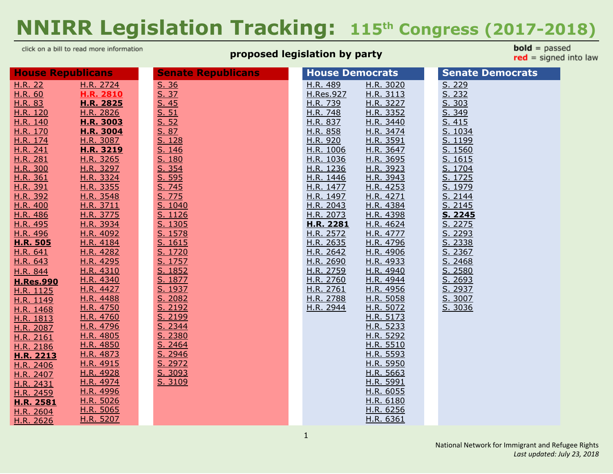# **NNIRR Legislation Tracking: 115 th Congress (2017-2018)**

click on a bill to read more information

#### **proposed legislation by party**

**bold** =  $passed$  $red = signed into law$ 

| <b>House Republicans</b> |                        | <b>Senate Republicans</b> | <b>House Democrats</b>                           | <b>Senate Democrats</b> |
|--------------------------|------------------------|---------------------------|--------------------------------------------------|-------------------------|
| H.R. 22                  | H.R. 2724              | S. 36                     | H.R. 489<br>H.R. 3020                            | S. 229                  |
| H.R. 60                  | <b>H.R. 2810</b>       | S. 37                     | H.Res.927<br>H.R. 3113                           | S. 232                  |
| H.R. 83                  | H.R. 2825              | S.45                      | H.R. 3227<br>H.R. 739                            | S. 303                  |
| H.R. 120                 | H.R. 2826              | S. 51                     | H.R. 748<br>H.R. 3352                            | S. 349                  |
| H.R. 140                 | H.R. 3003              | S. 52                     | H.R. 837<br>H.R. 3440                            | S. 415                  |
| H.R. 170                 | <b>H.R. 3004</b>       | S. 87                     | H.R. 858<br>H.R. 3474                            | S. 1034                 |
| H.R. 174                 | H.R. 3087              | S. 128                    | H.R. 3591<br>H.R. 920                            | S. 1199                 |
| H.R. 241                 | H.R. 3219              | S. 146                    | H.R. 1006<br>H.R. 3647                           | S. 1560                 |
| H.R. 281                 | H.R. 3265              | S. 180                    | H.R. 1036<br>H.R. 3695                           | S. 1615                 |
| H.R. 300                 | H.R. 3297              | S. 354                    | H.R. 1236<br>H.R. 3923                           | S. 1704                 |
| H.R. 361                 | H.R. 3324              | S. 595                    | H.R. 1446<br>H.R. 3943                           | S. 1725                 |
| H.R. 391                 | H.R. 3355              | S. 745                    | H.R. 1477<br>H.R. 4253                           | S. 1979                 |
| H.R. 392                 | H.R. 3548              | S. 775                    | H.R. 1497<br>H.R. 4271                           | S. 2144                 |
| H.R. 400                 | H.R. 3711              | S. 1040                   | H.R. 2043<br>H.R. 4384                           | S. 2145                 |
| H.R. 486                 | H.R. 3775              | S. 1126                   | H.R. 2073<br>H.R. 4398                           | S. 2245                 |
| H.R. 495                 | H.R. 3934              | S. 1305                   | H.R. 2281<br>H.R. 4624                           | S. 2275                 |
| H.R. 496                 | H.R. 4092              | S. 1578                   | H.R. 2572<br>H.R. 4777                           | S. 2293                 |
| <b>H.R. 505</b>          | H.R. 4184              | S. 1615                   | H.R. 2635<br>H.R. 4796                           | S. 2338                 |
| H.R. 641                 | H.R. 4282              | S. 1720                   | H.R. 2642<br>H.R. 4906                           | S. 2367                 |
| H.R. 643                 | H.R. 4295              | S. 1757                   | H.R. 2690<br>H.R. 4933                           | S. 2468                 |
| H.R. 844                 | H.R. 4310              | S. 1852                   | H.R. 2759<br>H.R. 4940                           | S. 2580                 |
| <b>H.Res.990</b>         | H.R. 4340              | S. 1877                   | H.R. 2760<br>H.R. 4944                           | S. 2693                 |
| H.R. 1125                | H.R. 4427<br>H.R. 4488 | S. 1937<br>S. 2082        | H.R. 2761<br>H.R. 4956<br>H.R. 2788<br>H.R. 5058 | S. 2937<br>S. 3007      |
| H.R. 1149                | H.R. 4750              | S. 2192                   | H.R. 2944<br>H.R. 5072                           | S. 3036                 |
| H.R. 1468                | H.R. 4760              | S. 2199                   | H.R. 5173                                        |                         |
| H.R. 1813                | H.R. 4796              | S. 2344                   | H.R. 5233                                        |                         |
| H.R. 2087<br>H.R. 2161   | H.R. 4805              | S. 2380                   | H.R. 5292                                        |                         |
| H.R. 2186                | H.R. 4850              | S. 2464                   | H.R. 5510                                        |                         |
| H.R. 2213                | H.R. 4873              | S. 2946                   | H.R. 5593                                        |                         |
| H.R. 2406                | H.R. 4915              | S. 2972                   | H.R. 5950                                        |                         |
| H.R. 2407                | H.R. 4928              | S. 3093                   | H.R. 5663                                        |                         |
| H.R. 2431                | H.R. 4974              | S. 3109                   | H.R. 5991                                        |                         |
| H.R. 2459                | H.R. 4996              |                           | H.R. 6055                                        |                         |
| H.R. 2581                | H.R. 5026              |                           | H.R. 6180                                        |                         |
| H.R. 2604                | H.R. 5065              |                           | H.R. 6256                                        |                         |
| H.R. 2626                | H.R. 5207              |                           | H.R. 6361                                        |                         |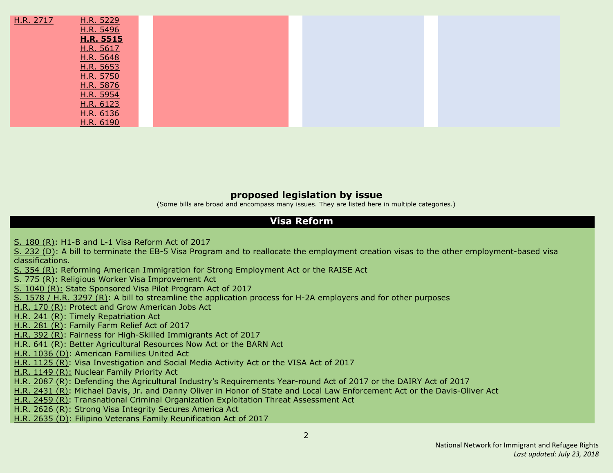| H.R. 2717 | H.R. 5229        |  |  |
|-----------|------------------|--|--|
|           | H.R. 5496        |  |  |
|           | <b>H.R. 5515</b> |  |  |
|           | H.R. 5617        |  |  |
|           | H.R. 5648        |  |  |
|           | H.R. 5653        |  |  |
|           | H.R. 5750        |  |  |
|           | H.R. 5876        |  |  |
|           | H.R. 5954        |  |  |
|           | H.R. 6123        |  |  |
|           | H.R. 6136        |  |  |
|           | H.R. 6190        |  |  |

#### **proposed legislation by issue**

(Some bills are broad and encompass many issues. They are listed here in multiple categories.)

#### **Visa Reform**

S. [180](#page-36-0) (R): H1-B and L-1 Visa [Reform](#page-36-0) Act of 2017

S. [232](#page-19-2) (D): A bill to terminate the EB-5 Visa Program and to reallocate the employment creation visas to the other [employment-based](#page-19-2) visa [classifications.](#page-19-2)

S. [354](#page-36-1) (R): Reforming American Immigration for Strong [Employment](#page-36-1) Act or the RAISE Act

S. [775](#page-37-1) (R): Religious Worker Visa [Improvement](#page-37-1) Ac[t](#page-37-1)

S. [1040](#page-19-2) (R): State [Sponsored](#page-19-2) Visa Pilot Program Act of 2017

S. [1578](#page-38-0) / H.R. 3297 (R): A bill to streamline the [application](#page-38-0) process for H-2A employers and for other purposes

[H.R.](#page-9-3) 170 (R): Protect and Grow [American](#page-9-3) Jobs Act

[H.R.](#page-10-0) 241 (R): Timely [Repatriation](#page-10-0) Ac[t](#page-10-0)

[H.R.](#page-10-1) 281 (R): [Family](#page-10-1) Farm Relief Act of 2017

[H.R.](#page-10-4) 392 (R): Fairness for [High-Skilled](#page-10-4) Immigrants Act of 201[7](#page-10-4)

[H.R.](#page-12-3) 641 (R): Better [Agricultural](#page-12-3) Resources Now Act or the BARN Ac[t](#page-12-3)

H.R. [1036](#page-14-4) (D): [American](#page-14-4) Families United Act

H.R. [1125](#page-15-0) (R): Visa [Investigation](#page-15-0) and Social Media Activity Act or the VISA Act of 2017

H.R. [1149](#page-15-1) (R): [Nuclear](#page-15-1) Family Priority Act

H.R. [2087](#page-17-0) (R): Defending the Agricultural Industry's [Requirements](#page-17-0) Year-round Act of 2017 or the DAIRY Act of 2017

H.R. [2431](#page-18-2) (R): Michael Davis, Jr. and Danny Oliver in Honor of State and Local Law [Enforcement](#page-18-2) Ac[t](#page-18-2) or the Davis-Oliver Act

H.R. [2459](#page-18-3) (R): [Transnational](#page-18-3) Criminal Organization Exploitation Threat Assessment Act

H.R. [2626](#page-19-2) (R): Strong Visa [Integrity](#page-19-2) Secures America Act

H.R. [2635](#page-20-1) (D): Filipino Veterans Family [Reunification](#page-20-1) Act of 201[7](#page-20-1)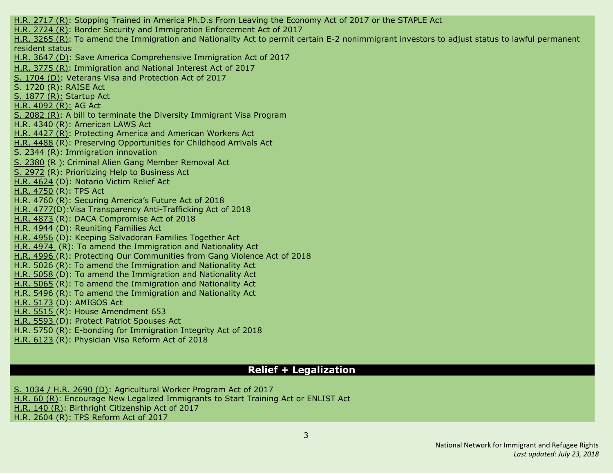H.R. [2717](#page-20-5) (R): Stopping Trained in America Ph.D.s From Leaving the [Economy](#page-20-5) Act of 2017 or the STAPLE Act H.R. [2724](#page-20-0) (R): Border Security and Immigration [Enforcement](#page-20-0) Act of 2017 H.R. [3265](#page-23-2) (R): To amend the Immigration and Nationality Act to permit certain E-2 [nonimmigrant](#page-23-2) investors to adjust status to lawful permanent [resident](#page-23-2) status H.R. [3647](#page-25-3) (D): Save America Comprehensive Immigration Act of 2017 H.R. [3775](#page-25-1) (R): Immigration and National Interest Act of 2017 S. [1704](#page-38-5) (D): Veterans Visa and Protection Act of 2017 S. [1720](#page-38-3) (R): RAISE Act S. [1877](#page-39-2) (R): Startup Act H.R. [4092](#page-26-0) (R): AG Act S. [2082](#page-40-0) (R): A bill to terminate the Diversity Immigrant Visa Program H.R. [4340](#page-27-1) (R): American LAWS Act H.R. [4427](#page-27-2) (R): Protecting America and American Workers Act H.R. [4488](#page-27-3) (R): Preserving Opportunities for Childhood Arrivals Act S. [2344](#page-41-0) (R): Immigration innovation S. [2380](#page-42-0) (R ): Criminal Alien Gang Member Removal Act S. [2972](#page-43-1) (R): [Prioritizing](#page-43-1) Help to Business Act H.R. [4624](#page-27-6) (D): Notario Victim Relief Act H.R. [4750](#page-28-0) (R): TPS Act H.R. [4760](#page-28-1) (R): Securing America's Future Act of 2018 H.R. [4777\(](#page-28-4)D):Visa Transparency Anti-Trafficking Act of 2018 H.R. [4873](#page-29-1) (R): DACA Compromise Act of 2018 H.R. [4944](#page-30-5) (D): Reuniting Families Act H.R. [4956](#page-30-6) (D): Keeping Salvadoran Families Together Act H.R. [4974](#page-30-0) (R): To amend the Immigration and Nationality Act H.R. [4996](#page-30-1) (R): Protecting Our Communities from Gang Violence Act of 2018 H.R. [5026](#page-30-2) (R): To amend the Immigration and Nationality Act H.R. [5058](#page-31-1) (D): To amend the Immigration and Nationality Act H.R. [5065](#page-30-3) (R): To amend the Immigration and Nationality Act H.R. [5496](#page-32-2) (R): To amend the Immigration and Nationality Act H.R. [5173](#page-31-3) (D): AMIGOS Act H.R. [5515](#page-32-3) (R): House [Amendment](#page-32-3) 653 H.R. [5593](#page-32-1) (D): Protect Patriot [Spouses](#page-32-1) Act H.R. [5750](#page-33-3) (R): E-bonding for [Immigration](#page-33-3) Integrity Act of 2018 H.R. [6123](#page-34-3) (R): Physician Visa Reform Act of 2018

#### **Relief + Legalization**

S. [1034](#page-20-3) / H.R. 2690 (D): [Agricultural](#page-20-3) Worker Program Act of 201[7](#page-20-3) [H.R.](#page-8-1) 60 (R): Encourage New Legalized [Immigrants](#page-8-1) to Start Training Act or ENLIST Act [H.R.](#page-9-2) 140 (R): Birthright [Citizenship](#page-9-2) Act of 201[7](#page-9-2)

H.R. [2604](#page-19-1) (R): TPS [Reform](#page-19-1) Act of 2017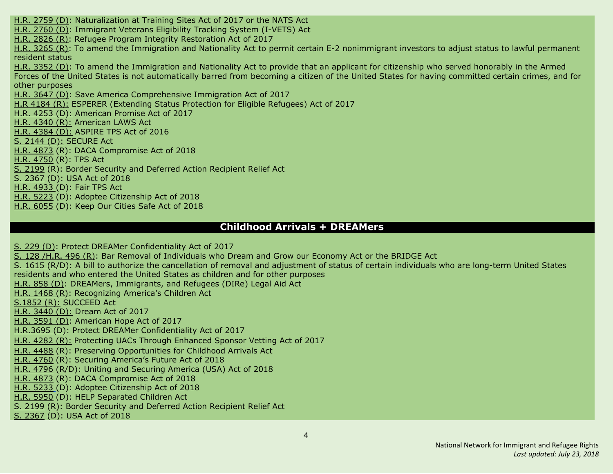H.R. [2759](#page-20-4) (D): [Naturalization](#page-20-4) at Training Sites Act of 2017 or the NATS Act H.R. [2760](#page-21-1) (D): [Immigrant](#page-21-1) Veterans Eligibility Tracking System (I-VETS) Ac[t](#page-21-1) H.R. [2826](#page-22-1) (R): Refugee Program Integrity [Restoration](#page-22-1) Act of 201[7](#page-22-1) H.R. [3265](#page-23-2) (R): To amend the Immigration and Nationality Act to permit certain E-2 [nonimmigrant](#page-23-2) investors to adjust status to lawful permanent [resident](#page-23-2) status H.R. [3352](#page-23-6) (D): To amend the [Immigration](#page-23-6) and Nationality Act to provide that an applicant for citizenship who served honorably in the Armed Forces of the United States is not [automatically](#page-23-6) barred from becoming a citizen of the United States for having committed certain crimes, and for other [purposes](#page-23-6) H.R. [3647](#page-25-3) (D): Save America Comprehensive Immigration Act of 2017 H.R [4184](#page-26-1) (R): ESPERER (Extending Status Protection for Eligible Refugees) Act of 2017 H.R. [4253](#page-26-4) (D): American Promise Act of 2017 H.R. [4340](#page-27-1) (R): American LAWS Act H.R. [4384](#page-27-4) (D): ASPIRE TPS Act of 2016 S. [2144](#page-40-4) (D): SECURE Act H.R. [4873](#page-29-1) (R): DACA Compromise Act of 2018 H.R. [4750](#page-28-0) (R): TPS Act S. [2199](#page-40-2) (R): Border Security and Deferred Action Recipient Relief Act S. [2367](#page-42-1) (D): USA Act of 2018 H.R. [4933](#page-29-5) (D): Fair TPS Act H.R. [5223](#page-31-4) (D): Adoptee Citizenship Act of 2018 H.R. [6055](#page-34-2) (D): Keep Our [Cities](#page-34-2) Safe Act of 2018

#### **Childhood Arrivals + DREAMers**

S. [229](#page-36-2) (D): Protect DREAMer [Confidentiality](#page-36-2) Act of 2017 S. [128](#page-12-5) [/H.R.](#page-12-1) 496 (R): Bar Removal of [Individuals](#page-12-1) who Dream and Grow our Economy Act or the BRIDGE Act S. 1615 [\(R/D\)](#page-38-2): A bill to authorize the [cancellation](#page-38-2) of removal and adjustment of status of certain individuals who are long-term United States [residents](#page-38-2) and who entered the United States as children and for other purposes [H.R.](#page-13-4) 858 (D): DREAMers, [Immigrants,](#page-13-4) and Refugees (DIRe) Legal Aid Ac[t](#page-13-4) H.R. [1468](#page-15-2) (R): [Recognizing](#page-15-2) America's Children Act [S.1852](#page-39-1) (R): SUCCEED Act H.R. [3440](#page-24-2) (D): Dream Act of 2017 H.R. [3591](#page-24-4) (D): American Hope Act of 2017 [H.R.3695](#page-25-4) (D): Protect DREAMer Confidentiality Act of 2017 H.R. [4282](#page-26-2) (R): Protecting UACs Through Enhanced Sponsor Vetting Act of 2017 H.R. [4488](#page-27-3) (R): Preserving Opportunities for Childhood Arrivals Act H.R. [4760](#page-28-1) (R): Securing America's Future Act of 2018 H.R. [4796](#page-28-2) (R/D): Uniting and Securing America (USA) Act of 2018 H.R. [4873](#page-29-1) (R): DACA Compromise Act of 2018 H.R. [5233](#page-31-4) (D): Adoptee Citizenship Act of 2018 H.R. [5950](#page-33-0) (D): HELP [Separated](#page-33-0) Children Act S. [2199](#page-40-2) (R): Border Security and Deferred Action Recipient Relief Act S. [2367](#page-42-1) (D): USA Act of 2018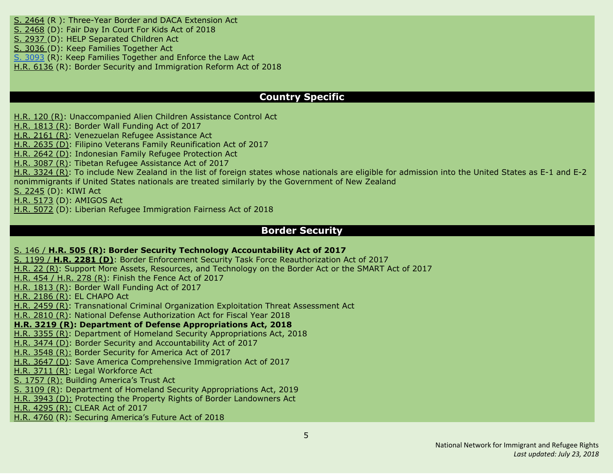S. [2464](#page-43-0) (R ): Three-Year Border and DACA Extension Act S. [2468](#page-43-2) (D): Fair Day In Court For Kids Act of 2018 S. [2937](#page-33-0) (D): HELP [Separated](#page-33-0) Children Act S. [3036](#page-44-2) (D): Keep Families [Together](#page-44-2) Act S. [3093](#page-44-0) (R): Keep Families Together and Enforce the Law Act

H.R. [6136](#page-34-4) (R): Border Security and Immigration Reform Act of 2018

#### **Country Specific**

[H.R.](#page-9-1) 120 (R): [Unaccompanied](#page-9-1) Alien Children Assistance Control Act

H.R. [1813](#page-16-0) (R): Border Wall [Funding](#page-16-0) Act of 2017

H.R. [2161](#page-17-1) (R): [Venezuelan](#page-17-1) Refugee Assistance Act

H.R. [2635](#page-20-1) (D): Filipino Veterans Family [Reunification](#page-20-1) Act of 201[7](#page-20-1)

H.R. [2642](#page-20-2) (D): Indonesian Family Refugee Protection Act

H.R. [3087](#page-23-0) (R): Tibetan Refugee [Assistance](#page-23-0) Act of 2017

H.R. [3324](#page-23-3) (R): To include New Zealand in the list of foreign states whose nationals are eligible for [admission](#page-23-3) into the United States as E-1 and E-2 [nonimmigrants](#page-23-3) if United States nationals are treated similarly by the Government of New Zealand

S. [2245](#page-41-1) (D): KIWI Act

H.R. [5173](#page-31-3) (D): AMIGOS Act

H.R. [5072](#page-31-2) (D): Liberian Refugee Immigration Fairness Act of 201[8](#page-23-3)

#### **Border Security**

#### S. [146](#page-12-2) / **[H.R.](#page-12-2) 505 (R): Border Security Technology [Accountability](#page-12-2) Act of 201[7](#page-12-2)**

S. [1199](#page-37-4) / **H.R. [2281](#page-37-4) (D)**: Border Enforcement Security Task Force [Reauthorization](#page-37-4) Act of 2017 [H.R.](#page-37-4) 22 (R): Support More Assets, Resources, and [Technology](#page-37-4) on the Border Act or the SMART Act of 201[7](#page-37-4) [H.R.](#page-11-3) 454 / H.R. 278 (R): Finish the [Fence](#page-11-3) Act of 2017 H.R. [1813](#page-16-0) (R): Border Wall [Funding](#page-16-0) Act of 2017 H.R. [2186](#page-17-2) (R): EL [CHAPO](#page-17-2) Act H.R. [2459](#page-18-3) (R): [Transnational](#page-18-3) Criminal Organization Exploitation Threat Assessment Act H.R. [2810](#page-21-0) (R): National Defense [Authorization](#page-21-0) Act for Fiscal Year 2018 **H.R. [3219](#page-23-1) (R): Department of Defense [Appropriations](#page-23-1) Act, 2018** H.R. [3355](#page-24-0) (R): Department of Homeland Security [Appropriations](#page-24-0) Act, 2018 H.R. [3474](#page-24-3) (D): Border Security and Accountability Act of 2017 H.R. [3548](#page-24-1) (R): Border Security for America Act of 2017 H.R. [3647](#page-25-3) (D): Save America Comprehensive Immigration Act of 2017 H.R. [3711](#page-25-0) (R): Legal Workforce Act S. [1757](#page-39-0) (R): Building America's Trust Act S. [3109](#page-44-1) (R): Department of Homeland Security Appropriations Act, 2019 H.R. [3943](#page-25-6) (D): Protecting the Property Rights of Border Landowners Act H.R. [4295](#page-26-3) (R): CLEAR Act of 2017 H.R. [4760](#page-28-1) (R): Securing America's Future Act of 2018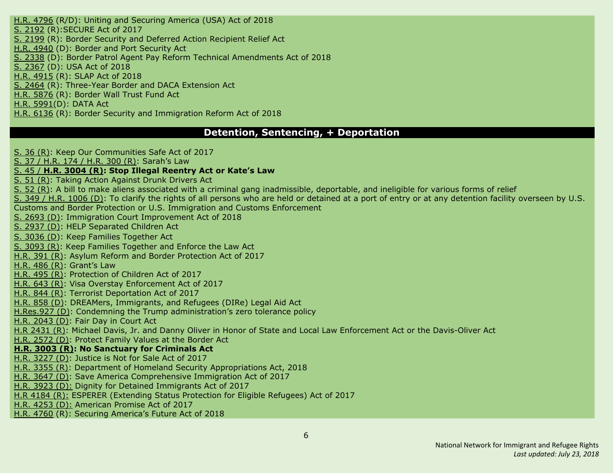H.R. [4796](#page-28-2) (R/D): Uniting and Securing America (USA) Act of 2018 S. [2192](#page-40-1) (R):SECURE Act of 2017 S. [2199](#page-40-2) (R): Border Security and Deferred Action Recipient Relief Act H.R. [4940](#page-30-4) (D): Border and Port Security Act S. [2338](#page-41-3) (D): Border Patrol Agent Pay Reform Technical Amendments Act of 2018 S. [2367](#page-42-1) (D): USA Act of 2018 H.R. [4915](#page-29-2) (R): SLAP Act of 2018 S. [2464](#page-43-0) (R): Three-Year Border and DACA Extension Act H.R. [5876](#page-33-4) (R): Border Wall Trust Fund Act H.R. [5991\(](#page-34-1)D): [DATA](#page-34-1) Act H.R. [6136](#page-34-4) (R): Border Security and Immigration Reform Act of 2018

#### **Detention, Sentencing, + Deportation**

S. 36 [\(R\)](#page-35-0): Keep Our [Communities](#page-35-0) Safe Act of 2017

S. 37 / [H.R.](#page-9-4) 174 / H.R. 300 (R): [Sarah's](#page-9-4) La[w](#page-9-4)

#### S. [45](#page-10-2) / **H.R. [3004](#page-10-2) (R): Stop Illegal [Reentry](#page-10-2) Act or Kate's La[w](#page-10-2)**

S. 51 [\(R\)](#page-35-1): Taking Action [Against](#page-35-1) Drunk Drivers Act

S. 52 [\(R\)](#page-35-2): A bill to make aliens associated with a criminal gang [inadmissible,](#page-35-2) deportable, and ineligible for various forms of relief

S. 349 / H.R. [1006](#page-14-3) (D): To clarify the rights of all persons who are held or detained at a port of entry or at any [detention](#page-14-3) facility overseen by U.S. Customs and Border Protection or U.S. Immigration and Customs [Enforcement](#page-14-3)

S. [2693](#page-43-4) (D): Immigration Court [Improvement](#page-43-4) Act of 201[8](#page-14-3)

S. [2937](#page-33-0) (D): HELP [Separated](#page-33-0) Children Act

S. [3036](#page-44-2) (D): Keep Families [Together](#page-44-2) Act

S. [3093](#page-44-0) (R): Keep Families Together and Enforce the Law Act

[H.R.](#page-10-3) 391 (R): Asylum Reform and Border [Protection](#page-10-3) Act of 201[7](#page-10-3)

[H.R.](#page-11-1) 486 (R): [Grant's](#page-11-1) Law

[H.R.](#page-12-0) 495 (R): [Protection](#page-12-0) of Children Act of 201[7](#page-12-0)

[H.R.](#page-12-4) 643 (R): Visa Overstay [Enforcement](#page-12-4) Act of 2017

[H.R.](#page-13-0) 844 (R): Terrorist [Deportation](#page-13-0) Act of 201[7](#page-13-0)

[H.R.](#page-13-4) 858 (D): DREAMers, Immigrants, and Refugees (DIRe) Legal Aid Act

[H.Res.927](#page-14-1) (D): Condemning the Trump administration's zero tolerance policy

H.R. [2043](#page-16-2) (D): Fair Day in [Court](#page-16-2) Ac[t](#page-16-2)

H.R [2431](#page-18-2) (R): Michael Davis, Jr. and Danny Oliver in Honor of State and Local Law Enforcement Act or the Davis-Oliver Act

H.R. [2572](#page-19-3) (D): [Protect](#page-19-3) Family Values at the Border Act

#### **H.R. [3003](#page-22-2) (R): No [Sanctuary](#page-22-2) for Criminals Ac[t](#page-22-2)**

H.R. [3227](#page-23-5) (D): [Justice](#page-23-5) is Not for Sale Act of 2017

H.R. [3355](#page-24-0) (R): Department of Homeland Security [Appropriations](#page-24-0) Act, 2018

H.R. [3647](#page-25-3) (D): Save America Comprehensive Immigration Act of 2017

H.R. [3923](#page-25-5) (D): Dignity for Detained Immigrants Act of 2017

H.R [4184](#page-26-1) (R): ESPERER (Extending Status Protection for Eligible Refugees) Act of 2017

H.R. [4253](#page-26-4) (D): American Promise Act of 2017

H.R. [4760](#page-28-1) (R): Securing America's Future Act of 2018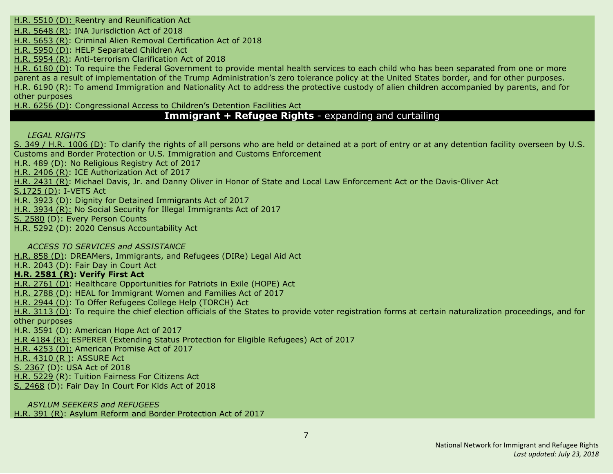H.R. [5510](#page-32-0) (D): Reentry and [Reunification](#page-32-0) Act

H.R. [5648](#page-32-5) (R): INA [Jurisdiction](#page-32-5) Act of 2018

H.R. [5653](#page-33-2) (R): Criminal Alien Removal [Certification](#page-33-2) Act of 2018

H.R. [5950](#page-33-0) (D): HELP [Separated](#page-33-0) Children Act

H.R. [5954](#page-34-0) (R): [Anti-terrorism](#page-34-0) Clarification Act of 2018

H.R. [6180](#page-35-3) (D): To require the Federal Government to provide mental health services to each child who has been separated from one or more parent as a result of implementation of the Trump Administration's zero tolerance policy at the United States border, and for other purposes. H.R. [6190](#page-35-6) (R): To amend Immigration and Nationality Act to address the protective custody of alien children accompanied by parents, and for other purposes

H.R. [6256](#page-35-4) (D): Congressional Access to Children's Detention Facilities Act

# **Immigrant + Refugee Rights** - expanding and curtailing

*LEGAL RIGHTS*

S. 349 / H.R. [1006](#page-14-3) (D): To clarify the rights of all persons who are held or detained at a port of entry or at any [detention](#page-14-3) facility overseen by U.S. Customs and Border Protection or U.S. Immigration and Customs [Enforcement](#page-14-3)

[H.R.](#page-11-2) 489 (D): No [Religious](#page-11-2) Registry Act of 2017

H.R. [2406](#page-18-0) (R): ICE [Authorization](#page-18-0) Act of 2017

H.R. [2431](#page-18-2) (R): Michael Davis, Jr. and Danny Oliver in Honor of State and Local Law [Enforcement](#page-18-2) Act or the Davis-Oliver Act

[S.1725](#page-39-4) (D): I-VETS Act

H.R. [3923](#page-25-5) (D): Dignity for Detained Immigrants Act of 2017

H.R. [3934](#page-25-2) (R): No Social Security for Illegal Immigrants Act of 2017

S. [2580](#page-43-3) (D): Every Person Counts

H.R. [5292](#page-31-5) (D): 2020 Census Accountability Act

*ACCESS TO SERVICES and ASSISTANCE*

[H.R.](#page-13-4) 858 (D): DREAMers, [Immigrants,](#page-13-4) and Refugees (DIRe) Legal Aid Ac[t](#page-13-4)

H.R. [2043](#page-16-2) (D): Fair Day in [Court](#page-16-2) Ac[t](#page-16-2)

#### **H.R. [2581](#page-19-0) (R): Verify First Act**

H.R. [2761](#page-21-2) (D): Healthcare [Opportunities](#page-21-2) for Patriots in Exile (HOPE) Act

H.R. [2788](#page-21-3) (D): HEAL for [Immigrant](#page-21-3) Women and Families Act of 2017

H.R. [2944](#page-22-3) (D): To Offer [Refugees](#page-22-3) College Help (TORCH) Ac[t](#page-22-3)

H.R. [3113](#page-23-4) (D): To require the chief election officials of the States to provide voter registration forms at certain naturalization proceedings, and for other purposes

H.R. [3591](#page-24-4) (D): American Hope Act of 2017

H.R [4184](#page-26-1) (R): ESPERER (Extending Status Protection for Eligible Refugees) Act of 2017

H.R. [4253](#page-26-4) (D): American Promise Act of 2017

H.R. [4310](#page-27-0) (R ): ASSURE Act

S. [2367](#page-42-1) (D): USA Act of 2018

H.R. [5229](#page-31-6) (R): Tuition Fairness For Citizens Act

S. [2468](#page-43-2) (D): Fair Day In Court For Kids Act of 2018

*ASYLUM SEEKERS and REFUGEES* [H.R.](#page-10-3) 391 (R): Asylum Reform and Border [Protection](#page-10-3) Act of 2017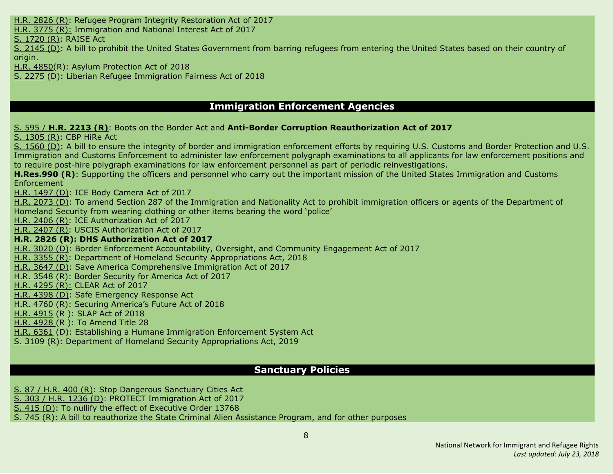H.R. [2826](#page-22-1) (R): Refugee Program Integrity [Restoration](#page-22-1) Act of 2017

H.R. [3775](#page-25-1) (R): Immigration and National Interest Act of 2017

S. [1720](#page-38-3) (R): RAISE Act

S. [2145](#page-40-5) (D): A bill to prohibit the United States Government from barring refugees from entering the United States based on their country of origin.

H.R. [4850\(](#page-29-0)R): Asylum Protection Act of 2018

S. [2275](#page-41-2) (D): Liberian Refugee Immigration Fairness Act of 2018

# **Immigration Enforcement Agencies**

S. [595](#page-17-3) / **H.R. [2213](#page-17-3) (R)**: Boots on the Border Act and **Anti-Border Corruption Reauthorization Act of 2017**

S. [1305](#page-38-1) (R): CBP [HiRe](#page-38-1) Ac[t](#page-38-1)

S. [1560](#page-38-4) (D): A bill to ensure the integrity of border and immigration [enforcement](#page-38-4) efforts by requiring U.S. Customs and Border Protection and U.S. Immigration and Customs Enforcement to administer law enforcement polygraph [examinations](#page-38-4) to all applicants for law enforcement positions and to require post-hire polygraph examinations for law enforcement personnel as part of periodic [reinvestigations.](#page-38-4)

**[H.Res.990](#page-14-0) (R)**: Supporting the officers and personnel who carry out the important mission of the United States Immigration and Customs Enforcement

H.R. [1497](#page-16-3) (D): ICE Body [Camera](#page-16-3) Act of 201[7](#page-16-3)

H.R. [2073](#page-17-4) (D): To amend Section 287 of the [Immigration](#page-17-4) and Nationality Act to prohibit immigration officers or agents of the Department of [Homeland](#page-17-4) Security from wearing clothing or other items bearing the word 'police'

H.R. [2406](#page-18-0) (R): ICE [Authorization](#page-18-0) Act of 2017

H.R. [2407](#page-18-1) (R): USCIS [Authorization](#page-18-1) Act of 201[7](#page-18-1)

#### **H.R. [2826](#page-22-1) (R): DHS [Authorization](#page-22-1) Act of 2017**

H.R. [3020](#page-22-4) (D): Border Enforcement [Accountability,](#page-22-4) Oversight, and Community Engagement Act of 2017

H.R. [3355](#page-24-0) (R): Department of Homeland Security [Appropriations](#page-24-0) Act, 2018

H.R. [3647](#page-25-3) (D): Save America Comprehensive Immigration Act of 2017

H.R. [3548](#page-24-1) (R): Border Security for America Act of 2017

H.R. [4295](#page-26-3) (R): CLEAR Act of 2017

H.R. [4398](#page-27-5) (D): Safe Emergency Response Act

H.R. [4760](#page-28-1) (R): Securing America's Future Act of 2018

H.R. [4915](#page-29-2) (R ): SLAP Act of 2018

H.R. [4928](#page-29-3) (R ): To Amend Title 28

H.R. [6361](#page-35-5) (D): Establishing a Humane Immigration Enforcement System Act

S. [3109](#page-44-1) (R): Department of Homeland Security Appropriations Act, 2019

#### **Sanctuary Policies**

S. 87 / [H.R.](#page-11-0) 400 (R): Stop [Dangerous](#page-11-0) Sanctuary Cities Act

S. 303 / H.R. [1236](#page-15-3) (D): PROTECT [Immigration](#page-15-3) Act of 201[7](#page-15-3)

S. [415](#page-37-5) (D): To nullify the effect of [Executive](#page-37-5) Order 1376[8](#page-37-5)

S. [745](#page-37-0) (R): A bill to [reauthorize](#page-37-0) the State Criminal Alien Assistance Program, and for other purpose[s](#page-37-0)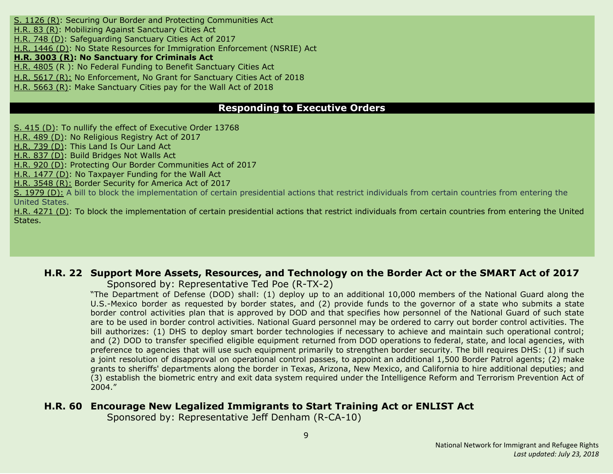S. [1126](#page-37-3) (R): Securing Our Border and Protecting [Communities](#page-37-3) Ac[t](#page-37-3) [H.R.](#page-9-0) 83 (R): Mobilizing Against [Sanctuary](#page-9-0) Cities Act [H.R.](#page-13-2) 748 (D): [Safeguarding](#page-13-2) Sanctuary Cities Act of 2017 H.R. [1446](#page-15-4) (D): No State Resources for Immigration [Enforcement](#page-15-4) (NSRIE) Act **H.R. [3003](#page-22-2) (R): No [Sanctuary](#page-22-2) for Criminals Act** H.R. [4805](#page-28-3) (R ): No Federal Funding to Benefit Sanctuary Cities Act H.R. [5617](#page-32-4) (R): No [Enforcement,](#page-32-4) No Grant for Sanctuary Cities Act of 2018 H.R. [5663](#page-33-1) (R): Make [Sanctuary](#page-33-1) Cities pay for the Wall Act of 2018

# **Responding to Executive Orders**

S. [415](#page-37-5) (D): To nullify the effect of [Executive](#page-37-5) Order 1376[8](#page-37-5)

[H.R.](#page-11-2) 489 (D): No [Religious](#page-11-2) Registry Act of 2017

[H.R.](#page-13-1) 739 (D): This [Land](#page-13-1) Is Our Land Ac[t](#page-13-1)

[H.R.](#page-13-3) 837 (D): Build [Bridges](#page-13-3) Not Walls Ac[t](#page-13-3)

[H.R.](#page-14-2) 920 (D): Protecting Our Border Communities Act of 2017

H.R. [1477](#page-16-1) (D): No [Taxpayer](#page-16-1) Funding for the Wall Act

H.R. [3548](#page-24-1) (R): Border Security for America Act of 2017

S. [1979](#page-40-3) (D): A bill to block the implementation of certain presidential actions that restrict individuals from certain countries from entering the United States.

H.R. [4271](#page-26-5) (D): To block the implementation of certain presidential actions that restrict individuals from certain countries from entering the United States.

#### <span id="page-8-0"></span>**H.R. 22 Support More Assets, Resources, and Technology on the Border Act or the SMART Act of 2017**

Sponsored by: Representative Ted Poe (R-TX-2)

"The Department of Defense (DOD) shall: (1) deploy up to an additional 10,000 members of the National Guard along the U.S.-Mexico border as requested by border states, and (2) provide funds to the governor of a state who submits a state border control activities plan that is approved by DOD and that specifies how personnel of the National Guard of such state are to be used in border control activities. National Guard personnel may be ordered to carry out border control activities. The bill authorizes: (1) DHS to deploy smart border technologies if necessary to achieve and maintain such operational control; and (2) DOD to transfer specified eligible equipment returned from DOD operations to federal, state, and local agencies, with preference to agencies that will use such equipment primarily to strengthen border security. The bill requires DHS: (1) if such a joint resolution of disapproval on operational control passes, to appoint an additional 1,500 Border Patrol agents; (2) make grants to sheriffs' departments along the border in Texas, Arizona, New Mexico, and California to hire additional deputies; and (3) establish the biometric entry and exit data system required under the Intelligence Reform and Terrorism Prevention Act of 2004."

# <span id="page-8-1"></span>**H.R. 60 Encourage New Legalized Immigrants to Start Training Act or ENLIST Act**

Sponsored by: Representative Jeff Denham (R-CA-10)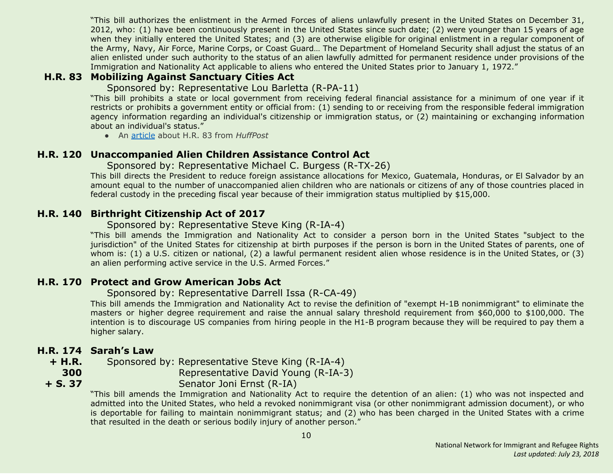"This bill authorizes the enlistment in the Armed Forces of aliens unlawfully present in the United States on December 31, 2012, who: (1) have been continuously present in the United States since such date; (2) were younger than 15 years of age when they initially entered the United States; and (3) are otherwise eligible for original enlistment in a regular component of the Army, Navy, Air Force, Marine Corps, or Coast Guard… The Department of Homeland Security shall adjust the status of an alien enlisted under such authority to the status of an alien lawfully admitted for permanent residence under provisions of the Immigration and Nationality Act applicable to aliens who entered the United States prior to January 1, 1972."

# <span id="page-9-0"></span>**H.R. 83 Mobilizing Against Sanctuary Cities Act**

Sponsored by: Representative Lou Barletta (R-PA-11)

"This bill prohibits a state or local government from receiving federal financial assistance for a minimum of one year if it restricts or prohibits a government entity or official from: (1) sending to or receiving from the responsible federal immigration agency information regarding an individual's citizenship or immigration status, or (2) maintaining or exchanging information about an individual's status."

● An [article](http://www.huffingtonpost.com/entry/gop-sanctuary-cities-funds_us_58730858e4b02b5f85898d46) about H.R. 83 from *HuffPost*

# <span id="page-9-1"></span>**H.R. 120 Unaccompanied Alien Children Assistance Control Act**

Sponsored by: Representative Michael C. Burgess (R-TX-26)

This bill directs the President to reduce foreign assistance allocations for Mexico, Guatemala, Honduras, or El Salvador by an amount equal to the number of unaccompanied alien children who are nationals or citizens of any of those countries placed in federal custody in the preceding fiscal year because of their immigration status multiplied by \$15,000.

# <span id="page-9-2"></span>**H.R. 140 Birthright Citizenship Act of 2017**

#### Sponsored by: Representative Steve King (R-IA-4)

"This bill amends the Immigration and Nationality Act to consider a person born in the United States "subject to the jurisdiction" of the United States for citizenship at birth purposes if the person is born in the United States of parents, one of whom is: (1) a U.S. citizen or national, (2) a lawful permanent resident alien whose residence is in the United States, or (3) an alien performing active service in the U.S. Armed Forces."

# <span id="page-9-3"></span>**H.R. 170 Protect and Grow American Jobs Act**

#### Sponsored by: Representative Darrell Issa (R-CA-49)

This bill amends the Immigration and Nationality Act to revise the definition of "exempt H-1B nonimmigrant" to eliminate the masters or higher degree requirement and raise the annual salary threshold requirement from \$60,000 to \$100,000. The intention is to discourage US companies from hiring people in the H1-B program because they will be required to pay them a higher salary.

# <span id="page-9-4"></span>**H.R. 174 Sarah's Law**

**300 + S. 37**

**+ H.R.** Sponsored by: Representative Steve King (R-IA-4)

Representative David Young (R-IA-3)

Senator Joni Ernst (R-IA)

"This bill amends the Immigration and Nationality Act to require the detention of an alien: (1) who was not inspected and admitted into the United States, who held a revoked nonimmigrant visa (or other nonimmigrant admission document), or who is deportable for failing to maintain nonimmigrant status; and (2) who has been charged in the United States with a crime that resulted in the death or serious bodily injury of another person."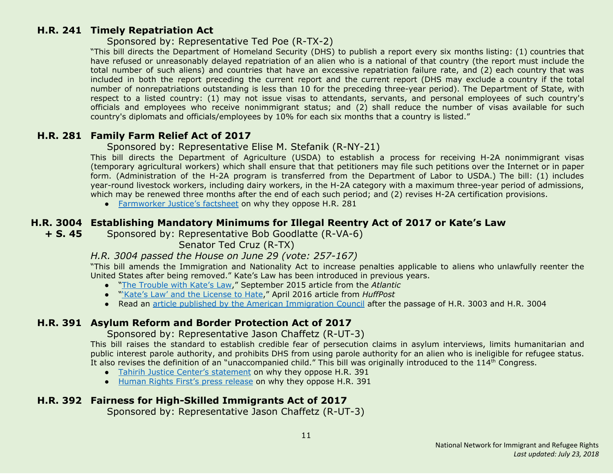#### <span id="page-10-0"></span>**H.R. 241 Timely Repatriation Act**

#### Sponsored by: Representative Ted Poe (R-TX-2)

"This bill directs the Department of Homeland Security (DHS) to publish a report every six months listing: (1) countries that have refused or unreasonably delayed repatriation of an alien who is a national of that country (the report must include the total number of such aliens) and countries that have an excessive repatriation failure rate, and (2) each country that was included in both the report preceding the current report and the current report (DHS may exclude a country if the total number of nonrepatriations outstanding is less than 10 for the preceding three-year period). The Department of State, with respect to a listed country: (1) may not issue visas to attendants, servants, and personal employees of such country's officials and employees who receive nonimmigrant status; and (2) shall reduce the number of visas available for such country's diplomats and officials/employees by 10% for each six months that a country is listed."

#### <span id="page-10-1"></span>**H.R. 281 Family Farm Relief Act of 2017**

#### Sponsored by: Representative Elise M. Stefanik (R-NY-21)

This bill directs the Department of Agriculture (USDA) to establish a process for receiving H-2A nonimmigrant visas (temporary agricultural workers) which shall ensure that that petitioners may file such petitions over the Internet or in paper form. (Administration of the H-2A program is transferred from the Department of Labor to USDA.) The bill: (1) includes year-round livestock workers, including dairy workers, in the H-2A category with a maximum three-year period of admissions, which may be renewed three months after the end of each such period; and (2) revises H-2A certification provisions.

● [Farmworker](https://www.farmworkerjustice.org/sites/default/files/FactSheetHR281-Jan2017.pdf) Justice's factsheet on why they oppose H.R. 281

# <span id="page-10-2"></span>**H.R. 3004 Establishing Mandatory Minimums for Illegal Reentry Act of 2017 or Kate's Law**

**+ S. 45** Sponsored by: Representative Bob Goodlatte (R-VA-6)

Senator Ted Cruz (R-TX)

#### *H.R. 3004 passed the House on June 29 (vote: 257-167)*

"This bill amends the Immigration and Nationality Act to increase penalties applicable to aliens who unlawfully reenter the United States after being removed." Kate's Law has been introduced in previous years.

- "The [Trouble](https://www.theatlantic.com/politics/archive/2015/09/kates-law-mandatory-sentencing/403990/) with Kate's Law," September 2015 article from the *Atlantic*
- "'Kate's Law' and the [License](http://www.huffingtonpost.com/samanta-honigman/kates-law-and-the-license_b_9789508.html) to Hate," April 2016 article from *HuffPost*
- Read an article published by the American [Immigration](http://immigrationimpact.com/2017/06/30/house-passes-anti-immigrant-bills/) Council after the passage of H.R. 3003 and H.R. 3004

# <span id="page-10-3"></span>**H.R. 391 Asylum Reform and Border Protection Act of 2017**

Sponsored by: Representative Jason Chaffetz (R-UT-3)

This bill raises the standard to establish credible fear of persecution claims in asylum interviews, limits humanitarian and public interest parole authority, and prohibits DHS from using parole authority for an alien who is ineligible for refugee status. It also revises the definition of an "unaccompanied child." This bill was originally introduced to the 114<sup>th</sup> Congress.

- Tahirih Justice Center's [statement](http://www.tahirih.org/wp-content/uploads/2017/02/TJC-Chaffetz-bill.pdf) on why they oppose H.R. 391
- Human Rights First's press [release](http://www.humanrightsfirst.org/press-release/house-should-reject-bills-undermine-us-protection-refugees) on why they oppose H.R. 391

# <span id="page-10-4"></span>**H.R. 392 Fairness for High-Skilled Immigrants Act of 2017**

Sponsored by: Representative Jason Chaffetz (R-UT-3)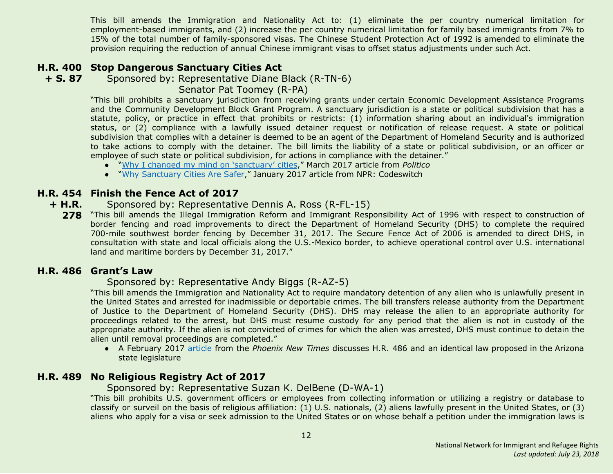This bill amends the Immigration and Nationality Act to: (1) eliminate the per country numerical limitation for employment-based immigrants, and (2) increase the per country numerical limitation for family based immigrants from 7% to 15% of the total number of family-sponsored visas. The Chinese Student Protection Act of 1992 is amended to eliminate the provision requiring the reduction of annual Chinese immigrant visas to offset status adjustments under such Act.

# <span id="page-11-0"></span>**H.R. 400 Stop Dangerous Sanctuary Cities Act**

**+ S. 87** Sponsored by: Representative Diane Black (R-TN-6)

Senator Pat Toomey (R-PA)

"This bill prohibits a sanctuary jurisdiction from receiving grants under certain Economic Development Assistance Programs and the Community Development Block Grant Program. A sanctuary jurisdiction is a state or political subdivision that has a statute, policy, or practice in effect that prohibits or restricts: (1) information sharing about an individual's immigration status, or (2) compliance with a lawfully issued detainer request or notification of release request. A state or political subdivision that complies with a detainer is deemed to be an agent of the Department of Homeland Security and is authorized to take actions to comply with the detainer. The bill limits the liability of a state or political subdivision, or an officer or employee of such state or political subdivision, for actions in compliance with the detainer."

- "Why I changed my mind on ['sanctuary'](http://www.politico.com/agenda/story/2017/03/changed-position-sanctuary-cities-trump-000386) cities," March 2017 article from *Politico*
- "Why [Sanctuary](http://www.npr.org/sections/codeswitch/2017/01/29/512002076/why-sanctuary-cities-are-safer) Cities Are Safer," January 2017 article from NPR: Codeswitch

#### <span id="page-11-3"></span>**H.R. 454 Finish the Fence Act of 2017**

- **+ H.R.** Sponsored by: Representative Dennis A. Ross (R-FL-15)
	- **278** "This bill amends the Illegal Immigration Reform and Immigrant Responsibility Act of 1996 with respect to construction of border fencing and road improvements to direct the Department of Homeland Security (DHS) to complete the required 700-mile southwest border fencing by December 31, 2017. The Secure Fence Act of 2006 is amended to direct DHS, in consultation with state and local officials along the U.S.-Mexico border, to achieve operational control over U.S. international land and maritime borders by December 31, 2017."

#### <span id="page-11-1"></span>**H.R. 486 Grant's Law**

#### Sponsored by: Representative Andy Biggs (R-AZ-5)

"This bill amends the Immigration and Nationality Act to require mandatory detention of any alien who is unlawfully present in the United States and arrested for inadmissible or deportable crimes. The bill transfers release authority from the Department of Justice to the Department of Homeland Security (DHS). DHS may release the alien to an appropriate authority for proceedings related to the arrest, but DHS must resume custody for any period that the alien is not in custody of the appropriate authority. If the alien is not convicted of crimes for which the alien was arrested, DHS must continue to detain the alien until removal proceedings are completed."

● A February 2017 [article](http://www.phoenixnewtimes.com/content/printView/9061789) from the *Phoenix New Times* discusses H.R. 486 and an identical law proposed in the Arizona state legislature

# <span id="page-11-2"></span>**H.R. 489 No Religious Registry Act of 2017**

Sponsored by: Representative Suzan K. DelBene (D-WA-1)

"This bill prohibits U.S. government officers or employees from collecting information or utilizing a registry or database to classify or surveil on the basis of religious affiliation: (1) U.S. nationals, (2) aliens lawfully present in the United States, or (3) aliens who apply for a visa or seek admission to the United States or on whose behalf a petition under the immigration laws is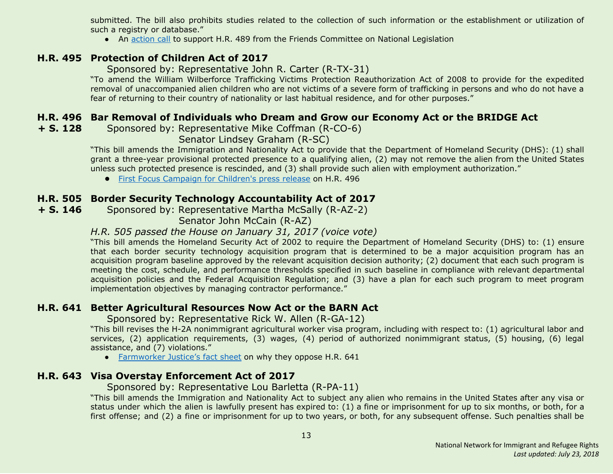submitted. The bill also prohibits studies related to the collection of such information or the establishment or utilization of such a registry or database."

• An [action](https://www.fcnl.org/updates/oppose-the-creation-of-a-religious-registry-472) call to support H.R. 489 from the Friends Committee on National Legislation

# <span id="page-12-0"></span>**H.R. 495 Protection of Children Act of 2017**

Sponsored by: Representative John R. Carter (R-TX-31)

"To amend the William Wilberforce Trafficking Victims Protection Reauthorization Act of 2008 to provide for the expedited removal of unaccompanied alien children who are not victims of a severe form of trafficking in persons and who do not have a fear of returning to their country of nationality or last habitual residence, and for other purposes."

# <span id="page-12-1"></span>**H.R. 496 Bar Removal of Individuals who Dream and Grow our Economy Act or the BRIDGE Act**

<span id="page-12-5"></span>**+ S. 128** Sponsored by: Representative Mike Coffman (R-CO-6)

Senator Lindsey Graham (R-SC)

"This bill amends the Immigration and Nationality Act to provide that the Department of Homeland Security (DHS): (1) shall grant a three-year provisional protected presence to a qualifying alien, (2) may not remove the alien from the United States unless such protected presence is rescinded, and (3) shall provide such alien with employment authorization."

**●** First Focus [Campaign](https://campaignforchildren.org/news/press-release/senate-reintroduces-bipartisan-bridge-act-to-protect-immigrant-youth/) for Children's press release on H.R. 496

# <span id="page-12-2"></span>**H.R. 505 Border Security Technology Accountability Act of 2017**

**+ S. 146** Sponsored by: Representative Martha McSally (R-AZ-2)

Senator John McCain (R-AZ)

#### *H.R. 505 passed the House on January 31, 2017 (voice vote)*

"This bill amends the Homeland Security Act of 2002 to require the Department of Homeland Security (DHS) to: (1) ensure that each border security technology acquisition program that is determined to be a major acquisition program has an acquisition program baseline approved by the relevant acquisition decision authority; (2) document that each such program is meeting the cost, schedule, and performance thresholds specified in such baseline in compliance with relevant departmental acquisition policies and the Federal Acquisition Regulation; and (3) have a plan for each such program to meet program implementation objectives by managing contractor performance."

# <span id="page-12-3"></span>**H.R. 641 Better Agricultural Resources Now Act or the BARN Act**

Sponsored by: Representative Rick W. Allen (R-GA-12)

"This bill revises the H-2A nonimmigrant agricultural worker visa program, including with respect to: (1) agricultural labor and services, (2) application requirements, (3) wages, (4) period of authorized nonimmigrant status, (5) housing, (6) legal assistance, and (7) violations."

● [Farmworker](https://www.farmworkerjustice.org/sites/default/files/FJ-BARN%20ActSummary6-12-15.pdf) Justice's fact sheet on why they oppose H.R. 641

# <span id="page-12-4"></span>**H.R. 643 Visa Overstay Enforcement Act of 2017**

Sponsored by: Representative Lou Barletta (R-PA-11)

"This bill amends the Immigration and Nationality Act to subject any alien who remains in the United States after any visa or status under which the alien is lawfully present has expired to: (1) a fine or imprisonment for up to six months, or both, for a first offense; and (2) a fine or imprisonment for up to two years, or both, for any subsequent offense. Such penalties shall be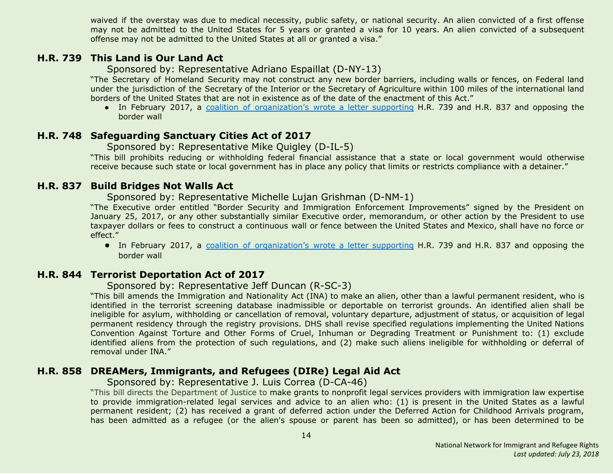waived if the overstay was due to medical necessity, public safety, or national security. An alien convicted of a first offense may not be admitted to the United States for 5 years or granted a visa for 10 years. An alien convicted of a subsequent offense may not be admitted to the United States at all or granted a visa."

#### <span id="page-13-1"></span>**H.R. 739 This Land is Our Land Act**

Sponsored by: Representative Adriano Espaillat (D-NY-13)

"The Secretary of Homeland Security may not construct any new border barriers, including walls or fences, on Federal land under the jurisdiction of the Secretary of the Interior or the Secretary of Agriculture within 100 miles of the international land borders of the United States that are not in existence as of the date of the enactment of this Act."

• In February 2017, a coalition of [organization's](https://www.aclu.org/sites/default/files/field_document/2017-02-27_coalition_letter_border_wall_hr_837_hr_739.pdf) wrote a letter supporting H.R. 739 and H.R. 837 and opposing the border wall

#### <span id="page-13-2"></span>**H.R. 748 Safeguarding Sanctuary Cities Act of 2017**

#### Sponsored by: Representative Mike Quigley (D-IL-5)

"This bill prohibits reducing or withholding federal financial assistance that a state or local government would otherwise receive because such state or local government has in place any policy that limits or restricts compliance with a detainer."

#### <span id="page-13-3"></span>**H.R. 837 Build Bridges Not Walls Act**

Sponsored by: Representative Michelle Lujan Grishman (D-NM-1)

"The Executive order entitled "Border Security and Immigration Enforcement Improvements" signed by the President on January 25, 2017, or any other substantially similar Executive order, memorandum, or other action by the President to use taxpayer dollars or fees to construct a continuous wall or fence between the United States and Mexico, shall have no force or effect."

**●** In February 2017, a coalition of [organization's](https://www.aclu.org/sites/default/files/field_document/2017-02-27_coalition_letter_border_wall_hr_837_hr_739.pdf) wrote a letter supporting H.R. 739 and H.R. 837 and opposing the border wall

#### <span id="page-13-0"></span>**H.R. 844 Terrorist Deportation Act of 2017**

#### Sponsored by: Representative Jeff Duncan (R-SC-3)

"This bill amends the Immigration and Nationality Act (INA) to make an alien, other than a lawful permanent resident, who is identified in the terrorist screening database inadmissible or deportable on terrorist grounds. An identified alien shall be ineligible for asylum, withholding or cancellation of removal, voluntary departure, adjustment of status, or acquisition of legal permanent residency through the registry provisions. DHS shall revise specified regulations implementing the United Nations Convention Against Torture and Other Forms of Cruel, Inhuman or Degrading Treatment or Punishment to: (1) exclude identified aliens from the protection of such regulations, and (2) make such aliens ineligible for withholding or deferral of removal under INA."

#### <span id="page-13-4"></span>**H.R. 858 DREAMers, Immigrants, and Refugees (DIRe) Legal Aid Act**

Sponsored by: Representative J. Luis Correa (D-CA-46)

"This bill directs the Department of Justice to make grants to nonprofit legal services providers with immigration law expertise to provide immigration-related legal services and advice to an alien who: (1) is present in the United States as a lawful permanent resident; (2) has received a grant of deferred action under the Deferred Action for Childhood Arrivals program, has been admitted as a refugee (or the alien's spouse or parent has been so admitted), or has been determined to be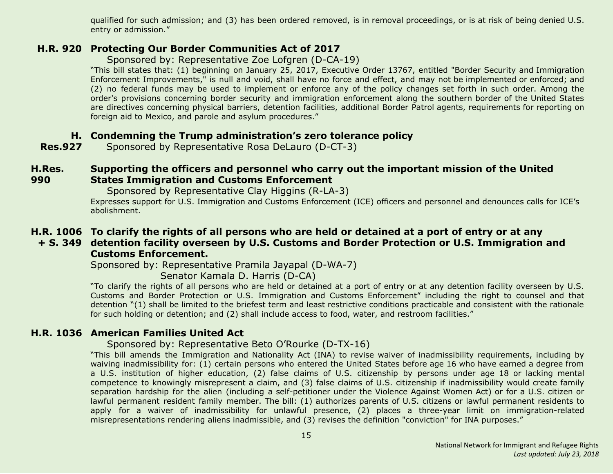qualified for such admission; and (3) has been ordered removed, is in removal proceedings, or is at risk of being denied U.S. entry or admission."

#### <span id="page-14-2"></span>**H.R. 920 Protecting Our Border Communities Act of 2017**

Sponsored by: Representative Zoe Lofgren (D-CA-19)

"This bill states that: (1) beginning on January 25, 2017, Executive Order 13767, entitled "Border Security and Immigration Enforcement Improvements," is null and void, shall have no force and effect, and may not be implemented or enforced; and (2) no federal funds may be used to implement or enforce any of the policy changes set forth in such order. Among the order's provisions concerning border security and immigration enforcement along the southern border of the United States are directives concerning physical barriers, detention facilities, additional Border Patrol agents, requirements for reporting on foreign aid to Mexico, and parole and asylum procedures."

#### <span id="page-14-1"></span>**H. Condemning the Trump administration's zero tolerance policy**

**Res.927** Sponsored by Representative Rosa DeLauro (D-CT-3)

#### <span id="page-14-0"></span>**H.Res. 990 Supporting the officers and personnel who carry out the important mission of the United States Immigration and Customs Enforcement**

Sponsored by Representative Clay Higgins (R-LA-3)

Expresses support for U.S. Immigration and Customs Enforcement (ICE) officers and personnel and denounces calls for ICE's abolishment.

# <span id="page-14-3"></span>**H.R. 1006 To clarify the rights of all persons who are held or detained at a port of entry or at any**

#### **+ S. 349 detention facility overseen by U.S. Customs and Border Protection or U.S. Immigration and Customs Enforcement.**

Sponsored by: Representative Pramila Jayapal (D-WA-7)

Senator Kamala D. Harris (D-CA)

"To clarify the rights of all persons who are held or detained at a port of entry or at any detention facility overseen by U.S. Customs and Border Protection or U.S. Immigration and Customs Enforcement" including the right to counsel and that detention "(1) shall be limited to the briefest term and least restrictive conditions practicable and consistent with the rationale for such holding or detention; and (2) shall include access to food, water, and restroom facilities."

# <span id="page-14-4"></span>**H.R. 1036 American Families United Act**

#### Sponsored by: Representative Beto O'Rourke (D-TX-16)

"This bill amends the Immigration and Nationality Act (INA) to revise waiver of inadmissibility requirements, including by waiving inadmissibility for: (1) certain persons who entered the United States before age 16 who have earned a degree from a U.S. institution of higher education, (2) false claims of U.S. citizenship by persons under age 18 or lacking mental competence to knowingly misrepresent a claim, and (3) false claims of U.S. citizenship if inadmissibility would create family separation hardship for the alien (including a self-petitioner under the Violence Against Women Act) or for a U.S. citizen or lawful permanent resident family member. The bill: (1) authorizes parents of U.S. citizens or lawful permanent residents to apply for a waiver of inadmissibility for unlawful presence, (2) places a three-year limit on immigration-related misrepresentations rendering aliens inadmissible, and (3) revises the definition "conviction" for INA purposes."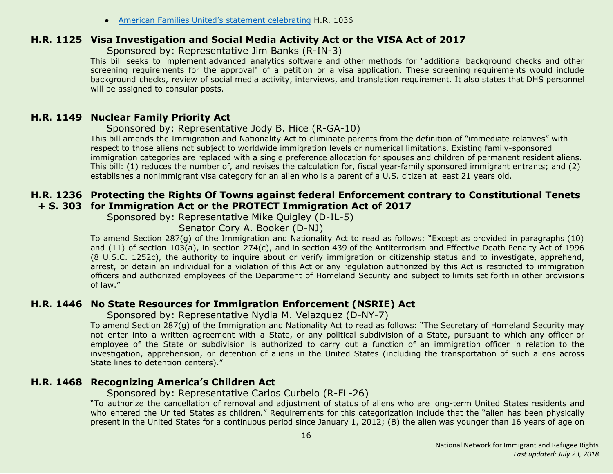● American Families United's statement [celebrating](http://www.americanfamiliesunited.org/i601) H.R. 1036

#### <span id="page-15-0"></span>**H.R. 1125 Visa Investigation and Social Media Activity Act or the VISA Act of 2017**

Sponsored by: Representative Jim Banks (R-IN-3)

This bill seeks to implement advanced analytics software and other methods for "additional background checks and other screening requirements for the approval" of a petition or a visa application. These screening requirements would include background checks, review of social media activity, interviews, and translation requirement. It also states that DHS personnel will be assigned to consular posts.

#### <span id="page-15-1"></span>**H.R. 1149 Nuclear Family Priority Act**

Sponsored by: Representative Jody B. Hice (R-GA-10)

This bill amends the Immigration and Nationality Act to eliminate parents from the definition of "immediate relatives" with respect to those aliens not subject to worldwide immigration levels or numerical limitations. Existing family-sponsored immigration categories are replaced with a single preference allocation for spouses and children of permanent resident aliens. This bill: (1) reduces the number of, and revises the calculation for, fiscal year-family sponsored immigrant entrants; and (2) establishes a nonimmigrant visa category for an alien who is a parent of a U.S. citizen at least 21 years old.

# <span id="page-15-3"></span>**H.R. 1236 Protecting the Rights Of Towns against federal Enforcement contrary to Constitutional Tenets + S. 303 for Immigration Act or the PROTECT Immigration Act of 2017**

Sponsored by: Representative Mike Quigley (D-IL-5)

Senator Cory A. Booker (D-NJ)

To amend Section 287(g) of the Immigration and Nationality Act to read as follows: "Except as provided in paragraphs (10) and (11) of section 103(a), in section 274(c), and in section 439 of the Antiterrorism and Effective Death Penalty Act of 1996 (8 U.S.C. 1252c), the authority to inquire about or verify immigration or citizenship status and to investigate, apprehend, arrest, or detain an individual for a violation of this Act or any regulation authorized by this Act is restricted to immigration officers and authorized employees of the Department of Homeland Security and subject to limits set forth in other provisions of law."

# <span id="page-15-4"></span>**H.R. 1446 No State Resources for Immigration Enforcement (NSRIE) Act**

Sponsored by: Representative Nydia M. Velazquez (D-NY-7)

To amend Section 287(g) of the Immigration and Nationality Act to read as follows: "The Secretary of Homeland Security may not enter into a written agreement with a State, or any political subdivision of a State, pursuant to which any officer or employee of the State or subdivision is authorized to carry out a function of an immigration officer in relation to the investigation, apprehension, or detention of aliens in the United States (including the transportation of such aliens across State lines to detention centers)."

# <span id="page-15-2"></span>**H.R. 1468 Recognizing America's Children Act**

#### Sponsored by: Representative Carlos Curbelo (R-FL-26)

"To authorize the cancellation of removal and adjustment of status of aliens who are long-term United States residents and who entered the United States as children." Requirements for this categorization include that the "alien has been physically present in the United States for a continuous period since January 1, 2012; (B) the alien was younger than 16 years of age on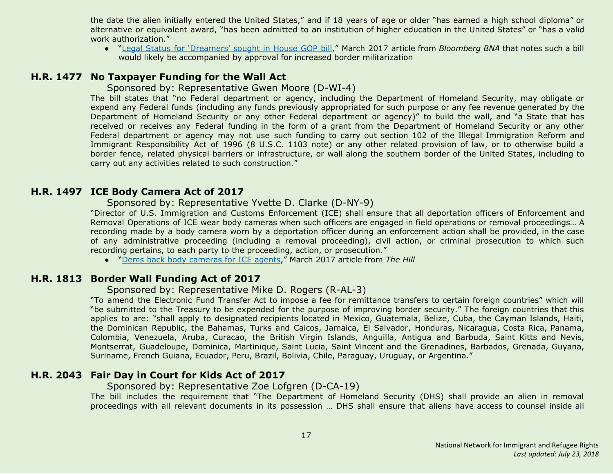the date the alien initially entered the United States," and if 18 years of age or older "has earned a high school diploma" or alternative or equivalent award, "has been admitted to an institution of higher education in the United States" or "has a valid work authorization."

● "Legal Status for ['Dreamers'](https://www.bna.com/legal-status-dreamers-n57982085106) sought in House GOP bill," March 2017 article from *Bloomberg BNA* that notes such a bill would likely be accompanied by approval for increased border militarization

#### <span id="page-16-1"></span>**H.R. 1477 No Taxpayer Funding for the Wall Act**

#### Sponsored by: Representative Gwen Moore (D-WI-4)

The bill states that "no Federal department or agency, including the Department of Homeland Security, may obligate or expend any Federal funds (including any funds previously appropriated for such purpose or any fee revenue generated by the Department of Homeland Security or any other Federal department or agency)" to build the wall, and "a State that has received or receives any Federal funding in the form of a grant from the Department of Homeland Security or any other Federal department or agency may not use such funding to carry out section 102 of the Illegal Immigration Reform and Immigrant Responsibility Act of 1996 (8 U.S.C. 1103 note) or any other related provision of law, or to otherwise build a border fence, related physical barriers or infrastructure, or wall along the southern border of the United States, including to carry out any activities related to such construction."

#### <span id="page-16-3"></span>**H.R. 1497 ICE Body Camera Act of 2017**

#### Sponsored by: Representative Yvette D. Clarke (D-NY-9)

"Director of U.S. Immigration and Customs Enforcement (ICE) shall ensure that all deportation officers of Enforcement and Removal Operations of ICE wear body cameras when such officers are engaged in field operations or removal proceedings… A recording made by a body camera worn by a deportation officer during an enforcement action shall be provided, in the case of any administrative proceeding (including a removal proceeding), civil action, or criminal prosecution to which such recording pertains, to each party to the proceeding, action, or prosecution."

● "Dems back body [cameras](http://thehill.com/latino/323676-dems-back-body-cameras-for-ice-agents) for ICE agents," March 2017 article from *The Hill*

#### <span id="page-16-0"></span>**H.R. 1813 Border Wall Funding Act of 2017**

#### Sponsored by: Representative Mike D. Rogers (R-AL-3)

"To amend the Electronic Fund Transfer Act to impose a fee for remittance transfers to certain foreign countries" which will "be submitted to the Treasury to be expended for the purpose of improving border security." The foreign countries that this applies to are: "shall apply to designated recipients located in Mexico, Guatemala, Belize, Cuba, the Cayman Islands, Haiti, the Dominican Republic, the Bahamas, Turks and Caicos, Jamaica, El Salvador, Honduras, Nicaragua, Costa Rica, Panama, Colombia, Venezuela, Aruba, Curacao, the British Virgin Islands, Anguilla, Antigua and Barbuda, Saint Kitts and Nevis, Montserrat, Guadeloupe, Dominica, Martinique, Saint Lucia, Saint Vincent and the Grenadines, Barbados, Grenada, Guyana, Suriname, French Guiana, Ecuador, Peru, Brazil, Bolivia, Chile, Paraguay, Uruguay, or Argentina."

# <span id="page-16-2"></span>**H.R. 2043 Fair Day in Court for Kids Act of 2017**

#### Sponsored by: Representative Zoe Lofgren (D-CA-19)

The bill includes the requirement that "The Department of Homeland Security (DHS) shall provide an alien in removal proceedings with all relevant documents in its possession … DHS shall ensure that aliens have access to counsel inside all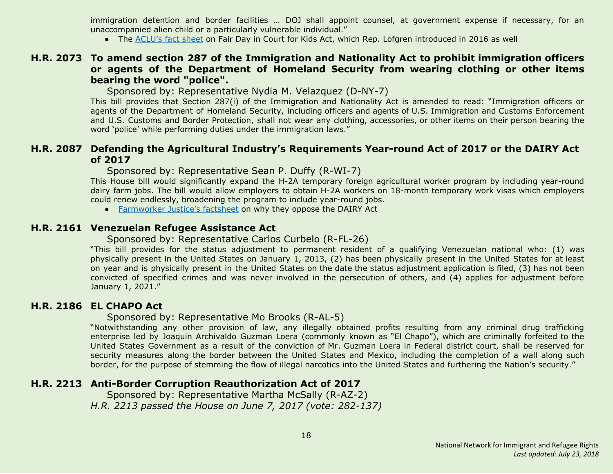immigration detention and border facilities … DOJ shall appoint counsel, at government expense if necessary, for an unaccompanied alien child or a particularly vulnerable individual."

● The [ACLU's](https://www.aclu.org/fact-sheet/fair-day-court-kids-act-factsheet) fact sheet on Fair Day in Court for Kids Act, which Rep. Lofgren introduced in 2016 as well

#### <span id="page-17-4"></span>**H.R. 2073 To amend section 287 of the Immigration and Nationality Act to prohibit immigration officers or agents of the Department of Homeland Security from wearing clothing or other items bearing the word "police".**

Sponsored by: Representative Nydia M. Velazquez (D-NY-7)

This bill provides that Section 287(i) of the Immigration and Nationality Act is amended to read: "Immigration officers or agents of the Department of Homeland Security, including officers and agents of U.S. Immigration and Customs Enforcement and U.S. Customs and Border Protection, shall not wear any clothing, accessories, or other items on their person bearing the word 'police' while performing duties under the immigration laws."

#### <span id="page-17-0"></span>**H.R. 2087 Defending the Agricultural Industry's Requirements Year-round Act of 2017 or the DAIRY Act of 2017**

Sponsored by: Representative Sean P. Duffy (R-WI-7)

This House bill would significantly expand the H-2A temporary foreign agricultural worker program by including year-round dairy farm jobs. The bill would allow employers to obtain H-2A workers on 18-month temporary work visas which employers could renew endlessly, broadening the program to include year-round jobs.

● [Farmworker](https://www.farmworkerjustice.org/sites/default/files/Dairy%20Act.pdf) Justice's factsheet on why they oppose the DAIRY Act

#### <span id="page-17-1"></span>**H.R. 2161 Venezuelan Refugee Assistance Act**

#### Sponsored by: Representative Carlos Curbelo (R-FL-26)

"This bill provides for the status adjustment to permanent resident of a qualifying Venezuelan national who: (1) was physically present in the United States on January 1, 2013, (2) has been physically present in the United States for at least on year and is physically present in the United States on the date the status adjustment application is filed, (3) has not been convicted of specified crimes and was never involved in the persecution of others, and (4) applies for adjustment before January 1, 2021."

#### <span id="page-17-2"></span>**H.R. 2186 EL CHAPO Act**

#### Sponsored by: Representative Mo Brooks (R-AL-5)

"Notwithstanding any other provision of law, any illegally obtained profits resulting from any criminal drug trafficking enterprise led by Joaquin Archivaldo Guzman Loera (commonly known as "El Chapo"), which are criminally forfeited to the United States Government as a result of the conviction of Mr. Guzman Loera in Federal district court, shall be reserved for security measures along the border between the United States and Mexico, including the completion of a wall along such border, for the purpose of stemming the flow of illegal narcotics into the United States and furthering the Nation's security."

#### <span id="page-17-3"></span>**H.R. 2213 Anti-Border Corruption Reauthorization Act of 2017**

 Sponsored by: Representative Martha McSally (R-AZ-2) *H.R. 2213 passed the House on June 7, 2017 (vote: 282-137)*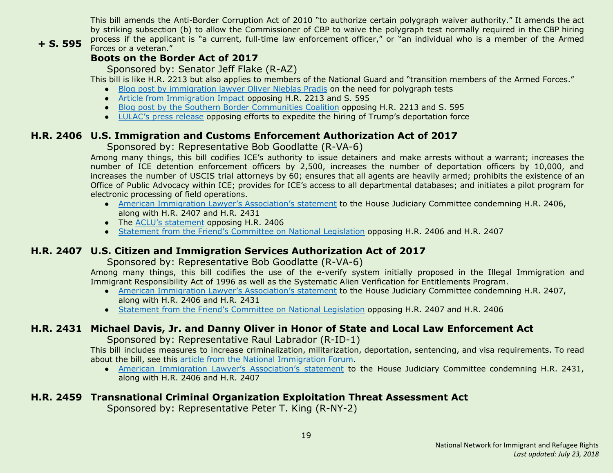This bill amends the Anti-Border Corruption Act of 2010 "to authorize certain polygraph waiver authority." It amends the act by striking subsection (b) to allow the Commissioner of CBP to waive the polygraph test normally required in the CBP hiring process if the applicant is "a current, full-time law enforcement officer," or "an individual who is a member of the Armed Forces or a veteran."

#### **+ S. 595**

# **Boots on the Border Act of 2017**

Sponsored by: Senator Jeff Flake (R-AZ)

This bill is like H.R. 2213 but also applies to members of the National Guard and "transition members of the Armed Forces."

- Blog post by [immigration](http://www.thinkimmigration.org/2017/06/01/dangerous-exceptions/) lawyer Oliver Nieblas Pradis on the need for polygraph tests
- Article from [Immigration](http://immigrationimpact.com/2017/05/17/eliminating-polygraph-test-corruption-border-agencies/) Impact opposing H.R. 2213 and S. 595
- Blog post by the Southern Border [Communities](http://www.southernborder.org/stop_congress_from_watering_down_cbp_hiring_requirements) Coalition opposing H.R. 2213 and S. 595
- [LULAC's](http://lulac.org/news/pr/Opposition-Trump_attempts_deportation_force/) press release opposing efforts to expedite the hiring of Trump's deportation force

# <span id="page-18-0"></span>**H.R. 2406 U.S. Immigration and Customs Enforcement Authorization Act of 2017**

#### Sponsored by: Representative Bob Goodlatte (R-VA-6)

Among many things, this bill codifies ICE's authority to issue detainers and make arrests without a warrant; increases the number of ICE detention enforcement officers by 2,500, increases the number of deportation officers by 10,000, and increases the number of USCIS trial attorneys by 60; ensures that all agents are heavily armed; prohibits the existence of an Office of Public Advocacy within ICE; provides for ICE's access to all departmental databases; and initiates a pilot program for electronic processing of field operations.

- American Immigration Lawyer's [Association's](http://www.aila.org/advo-media/aila-correspondence/2017/aila-statement-to-house-judiciary-committee) statement to the House Judiciary Committee condemning H.R. 2406, along with H.R. 2407 and H.R. 2431
- The ACLU's [statement](https://www.aclu.org/letter/aclu-opposes-hr-2406-immigration-and-customs-enforcement-ice-authorization-act) opposing H.R. 2406
- Statement from the Friend's [Committee](https://www.fcnl.org/updates/fcnl-opposes-two-enforcement-only-immigration-bills-825) on National Legislation opposing H.R. 2406 and H.R. 2407

# <span id="page-18-1"></span>**H.R. 2407 U.S. Citizen and Immigration Services Authorization Act of 2017**

#### Sponsored by: Representative Bob Goodlatte (R-VA-6)

Among many things, this bill codifies the use of the e-verify system initially proposed in the Illegal Immigration and Immigrant Responsibility Act of 1996 as well as the Systematic Alien Verification for Entitlements Program.

- **●** American Immigration Lawyer's [Association's](http://www.aila.org/advo-media/aila-correspondence/2017/aila-statement-to-house-judiciary-committee) statement to the House Judiciary Committee condemning H.R. 2407, along with H.R. 2406 and H.R. 2431
- **●** Statement from the Friend's [Committee](https://www.fcnl.org/updates/fcnl-opposes-two-enforcement-only-immigration-bills-825) on National Legislation opposing H.R. 2407 and H.R. 2406

# <span id="page-18-2"></span>**H.R. 2431 Michael Davis, Jr. and Danny Oliver in Honor of State and Local Law Enforcement Act**

Sponsored by: Representative Raul Labrador (R-ID-1)

This bill includes measures to increase criminalization, militarization, deportation, sentencing, and visa requirements. To read about the bill, see this article from the National [Immigration](http://immigrationforum.org/blog/house-considering-bill-increasing-immigration-enforcement-h-r-2431/) Forum.

● American Immigration Lawyer's [Association's](http://www.aila.org/advo-media/aila-correspondence/2017/aila-statement-to-house-judiciary-committee) statement to the House Judiciary Committee condemning H.R. 2431, along with H.R. 2406 and H.R. 2407

# <span id="page-18-3"></span>**H.R. 2459 Transnational Criminal Organization Exploitation Threat Assessment Act**

Sponsored by: Representative Peter T. King (R-NY-2)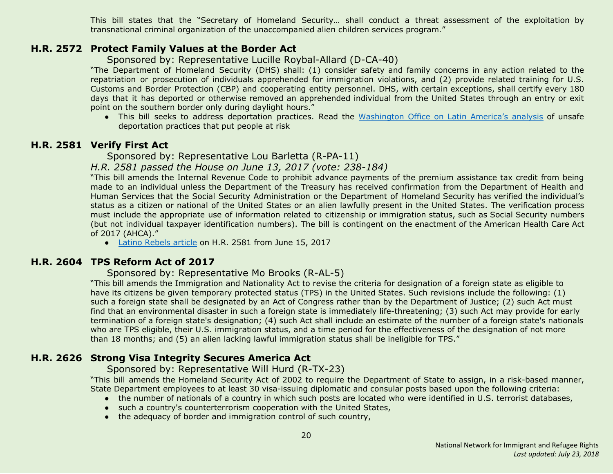This bill states that the "Secretary of Homeland Security… shall conduct a threat assessment of the exploitation by transnational criminal organization of the unaccompanied alien children services program."

#### <span id="page-19-3"></span>**H.R. 2572 Protect Family Values at the Border Act**

Sponsored by: Representative Lucille Roybal-Allard (D-CA-40)

"The Department of Homeland Security (DHS) shall: (1) consider safety and family concerns in any action related to the repatriation or prosecution of individuals apprehended for immigration violations, and (2) provide related training for U.S. Customs and Border Protection (CBP) and cooperating entity personnel. DHS, with certain exceptions, shall certify every 180 days that it has deported or otherwise removed an apprehended individual from the United States through an entry or exit point on the southern border only during daylight hours."

● This bill seeks to address deportation practices. Read the [Washington](https://www.wola.org/analysis/unsafe-deportation-practices-that-put-migrants-at-risk/) Office on Latin America's analysis of unsafe deportation practices that put people at risk

#### <span id="page-19-0"></span>**H.R. 2581 Verify First Act**

Sponsored by: Representative Lou Barletta (R-PA-11)

*H.R. 2581 passed the House on June 13, 2017 (vote: 238-184)*

"This bill amends the Internal Revenue Code to prohibit advance payments of the premium assistance tax credit from being made to an individual unless the Department of the Treasury has received confirmation from the Department of Health and Human Services that the Social Security Administration or the Department of Homeland Security has verified the individual's status as a citizen or national of the United States or an alien lawfully present in the United States. The verification process must include the appropriate use of information related to citizenship or immigration status, such as Social Security numbers (but not individual taxpayer identification numbers). The bill is contingent on the enactment of the American Health Care Act of 2017 (AHCA)."

• Latino [Rebels](http://www.latinorebels.com/2017/06/15/verify-first-act-would-require-u-s-citizenship-or-legal-status-proof-to-access-health-care-subsidies/) article on H.R. 2581 from June 15, 2017

#### <span id="page-19-1"></span>**H.R. 2604 TPS Reform Act of 2017**

Sponsored by: Representative Mo Brooks (R-AL-5)

"This bill amends the Immigration and Nationality Act to revise the criteria for designation of a foreign state as eligible to have its citizens be given temporary protected status (TPS) in the United States. Such revisions include the following: (1) such a foreign state shall be designated by an Act of Congress rather than by the Department of Justice; (2) such Act must find that an environmental disaster in such a foreign state is immediately life-threatening; (3) such Act may provide for early termination of a foreign state's designation; (4) such Act shall include an estimate of the number of a foreign state's nationals who are TPS eligible, their U.S. immigration status, and a time period for the effectiveness of the designation of not more than 18 months; and (5) an alien lacking lawful immigration status shall be ineligible for TPS."

#### <span id="page-19-2"></span>**H.R. 2626 Strong Visa Integrity Secures America Act**

Sponsored by: Representative Will Hurd (R-TX-23)

"This bill amends the Homeland Security Act of 2002 to require the Department of State to assign, in a risk-based manner, State Department employees to at least 30 visa-issuing diplomatic and consular posts based upon the following criteria:

- the number of nationals of a country in which such posts are located who were identified in U.S. terrorist databases,
- such a country's counterterrorism cooperation with the United States,
- the adequacy of border and immigration control of such country,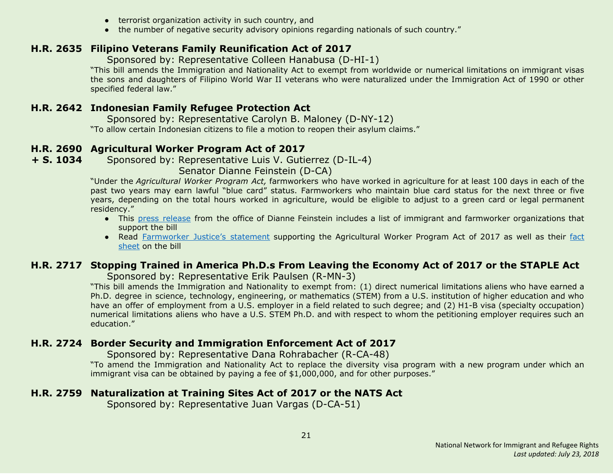- terrorist organization activity in such country, and
- the number of negative security advisory opinions regarding nationals of such country."

# <span id="page-20-1"></span>**H.R. 2635 Filipino Veterans Family Reunification Act of 2017**

Sponsored by: Representative Colleen Hanabusa (D-HI-1)

"This bill amends the Immigration and Nationality Act to exempt from worldwide or numerical limitations on immigrant visas the sons and daughters of Filipino World War II veterans who were naturalized under the Immigration Act of 1990 or other specified federal law."

# <span id="page-20-2"></span>**H.R. 2642 Indonesian Family Refugee Protection Act**

 Sponsored by: Representative Carolyn B. Maloney (D-NY-12) "To allow certain Indonesian citizens to file a motion to reopen their asylum claims."

# <span id="page-20-3"></span>**H.R. 2690 Agricultural Worker Program Act of 2017**

**+ S. 1034** Sponsored by: Representative Luis V. Gutierrez (D-IL-4)

Senator Dianne Feinstein (D-CA)

"Under the *Agricultural Worker Program Act,* farmworkers who have worked in agriculture for at least 100 days in each of the past two years may earn lawful "blue card" status. Farmworkers who maintain blue card status for the next three or five years, depending on the total hours worked in agriculture, would be eligible to adjust to a green card or legal permanent residency."

- **●** This press [release](https://www.feinstein.senate.gov/public/index.cfm/press-releases?id=A7920354-F4C1-48CB-95CF-9F25298EEDFB) from the office of Dianne Feinstein includes a list of immigrant and farmworker organizations that support the bill
- **●** Read [Farmworker](https://www.farmworkerjustice.org/sites/default/files/press_downloads/FJStatementAgWorkerFeinstein-5-3-17_final.pdf) Justice's statement supporting the Agricultural Worker Program Act of 2017 as well as their [fact](https://www.farmworkerjustice.org/sites/default/files/Feinstein%20Ag%20Worker%20Bill%20Fact%20Sheet%20-5-3-17.pdf) [sheet](https://www.farmworkerjustice.org/sites/default/files/Feinstein%20Ag%20Worker%20Bill%20Fact%20Sheet%20-5-3-17.pdf) on the bill

# <span id="page-20-5"></span>**H.R. 2717 Stopping Trained in America Ph.D.s From Leaving the Economy Act of 2017 or the STAPLE Act**

Sponsored by: Representative Erik Paulsen (R-MN-3)

"This bill amends the Immigration and Nationality to exempt from: (1) direct numerical limitations aliens who have earned a Ph.D. degree in science, technology, engineering, or mathematics (STEM) from a U.S. institution of higher education and who have an offer of employment from a U.S. employer in a field related to such degree; and (2) H1-B visa (specialty occupation) numerical limitations aliens who have a U.S. STEM Ph.D. and with respect to whom the petitioning employer requires such an education."

# <span id="page-20-0"></span>**H.R. 2724 Border Security and Immigration Enforcement Act of 2017**

Sponsored by: Representative Dana Rohrabacher (R-CA-48)

"To amend the Immigration and Nationality Act to replace the diversity visa program with a new program under which an immigrant visa can be obtained by paying a fee of \$1,000,000, and for other purposes."

# <span id="page-20-4"></span>**H.R. 2759 Naturalization at Training Sites Act of 2017 or the NATS Act**

Sponsored by: Representative Juan Vargas (D-CA-51)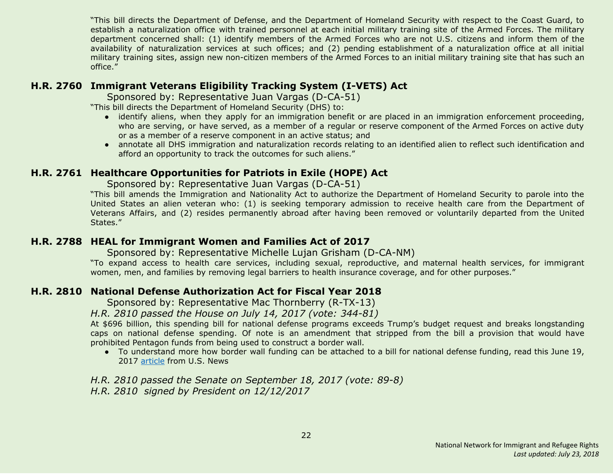"This bill directs the Department of Defense, and the Department of Homeland Security with respect to the Coast Guard, to establish a naturalization office with trained personnel at each initial military training site of the Armed Forces. The military department concerned shall: (1) identify members of the Armed Forces who are not U.S. citizens and inform them of the availability of naturalization services at such offices; and (2) pending establishment of a naturalization office at all initial military training sites, assign new non-citizen members of the Armed Forces to an initial military training site that has such an office."

#### <span id="page-21-1"></span>**H.R. 2760 Immigrant Veterans Eligibility Tracking System (I-VETS) Act**

Sponsored by: Representative Juan Vargas (D-CA-51)

"This bill directs the Department of Homeland Security (DHS) to:

- identify aliens, when they apply for an immigration benefit or are placed in an immigration enforcement proceeding, who are serving, or have served, as a member of a regular or reserve component of the Armed Forces on active duty or as a member of a reserve component in an active status; and
- annotate all DHS immigration and naturalization records relating to an identified alien to reflect such identification and afford an opportunity to track the outcomes for such aliens."

# <span id="page-21-2"></span>**H.R. 2761 Healthcare Opportunities for Patriots in Exile (HOPE) Act**

Sponsored by: Representative Juan Vargas (D-CA-51)

"This bill amends the Immigration and Nationality Act to authorize the Department of Homeland Security to parole into the United States an alien veteran who: (1) is seeking temporary admission to receive health care from the Department of Veterans Affairs, and (2) resides permanently abroad after having been removed or voluntarily departed from the United States."

#### <span id="page-21-3"></span>**H.R. 2788 HEAL for Immigrant Women and Families Act of 2017**

Sponsored by: Representative Michelle Lujan Grisham (D-CA-NM)

"To expand access to health care services, including sexual, reproductive, and maternal health services, for immigrant women, men, and families by removing legal barriers to health insurance coverage, and for other purposes."

#### <span id="page-21-0"></span>**H.R. 2810 National Defense Authorization Act for Fiscal Year 2018**

Sponsored by: Representative Mac Thornberry (R-TX-13)

*H.R. 2810 passed the House on July 14, 2017 (vote: 344-81)*

At \$696 billion, this spending bill for national defense programs exceeds Trump's budget request and breaks longstanding caps on national defense spending. Of note is an amendment that stripped from the bill a provision that would have prohibited Pentagon funds from being used to construct a border wall.

● To understand more how border wall funding can be attached to a bill for national defense funding, read this June 19, 2017 [article](https://www.usnews.com/opinion/economic-intelligence/articles/2017-07-19/congress-slyly-diverts-pentagon-money-to-fund-donald-trumps-border-wall) from U.S. News

*H.R. 2810 passed the Senate on September 18, 2017 (vote: 89-8) H.R. 2810 signed by President on 12/12/2017*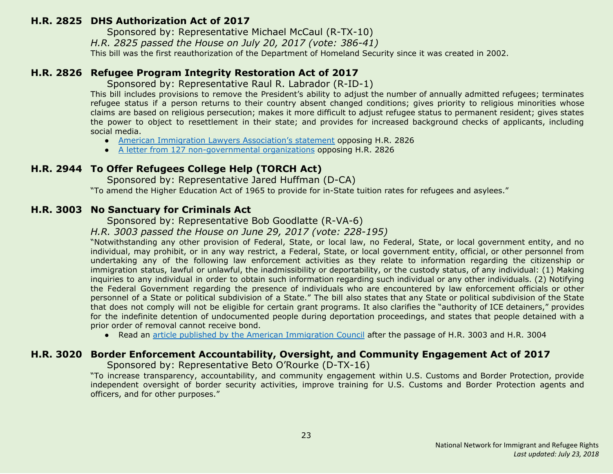#### <span id="page-22-0"></span>**H.R. 2825 DHS Authorization Act of 2017**

Sponsored by: Representative Michael McCaul (R-TX-10)

*H.R. 2825 passed the House on July 20, 2017 (vote: 386-41)*

This bill was the first reauthorization of the Department of Homeland Security since it was created in 2002.

#### <span id="page-22-1"></span>**H.R. 2826 Refugee Program Integrity Restoration Act of 2017**

Sponsored by: Representative Raul R. Labrador (R-ID-1)

This bill includes provisions to remove the President's ability to adjust the number of annually admitted refugees; terminates refugee status if a person returns to their country absent changed conditions; gives priority to religious minorities whose claims are based on religious persecution; makes it more difficult to adjust refugee status to permanent resident; gives states the power to object to resettlement in their state; and provides for increased background checks of applicants, including social media.

- American Immigration Lawyers [Association's](http://www.aila.org/advo-media/aila-correspondence/2017/house-judiciary-committee-on-markup-of-hr-2826) statement opposing H.R. 2826
- A letter from 127 [non-governmental](https://www.hias.org/sites/default/files/2017.6.20_-_ngo_sign-on_letter_refugee_program_integrity_restoration_act.pdf) organizations opposing H.R. 2826

#### <span id="page-22-3"></span>**H.R. 2944 To Offer Refugees College Help (TORCH Act)**

Sponsored by: Representative Jared Huffman (D-CA)

"To amend the Higher Education Act of 1965 to provide for in-State tuition rates for refugees and asylees."

#### <span id="page-22-2"></span>**H.R. 3003 No Sanctuary for Criminals Act**

Sponsored by: Representative Bob Goodlatte (R-VA-6)

*H.R. 3003 passed the House on June 29, 2017 (vote: 228-195)*

"Notwithstanding any other provision of Federal, State, or local law, no Federal, State, or local government entity, and no individual, may prohibit, or in any way restrict, a Federal, State, or local government entity, official, or other personnel from undertaking any of the following law enforcement activities as they relate to information regarding the citizenship or immigration status, lawful or unlawful, the inadmissibility or deportability, or the custody status, of any individual: (1) Making inquiries to any individual in order to obtain such information regarding such individual or any other individuals. (2) Notifying the Federal Government regarding the presence of individuals who are encountered by law enforcement officials or other personnel of a State or political subdivision of a State." The bill also states that any State or political subdivision of the State that does not comply will not be eligible for certain grant programs. It also clarifies the "authority of ICE detainers," provides for the indefinite detention of undocumented people during deportation proceedings, and states that people detained with a prior order of removal cannot receive bond.

● Read an article published by the American [Immigration](http://immigrationimpact.com/2017/06/30/house-passes-anti-immigrant-bills/) Council after the passage of H.R. 3003 and H.R. 3004

#### <span id="page-22-4"></span>**H.R. 3020 Border Enforcement Accountability, Oversight, and Community Engagement Act of 2017**

Sponsored by: Representative Beto O'Rourke (D-TX-16)

"To increase transparency, accountability, and community engagement within U.S. Customs and Border Protection, provide independent oversight of border security activities, improve training for U.S. Customs and Border Protection agents and officers, and for other purposes."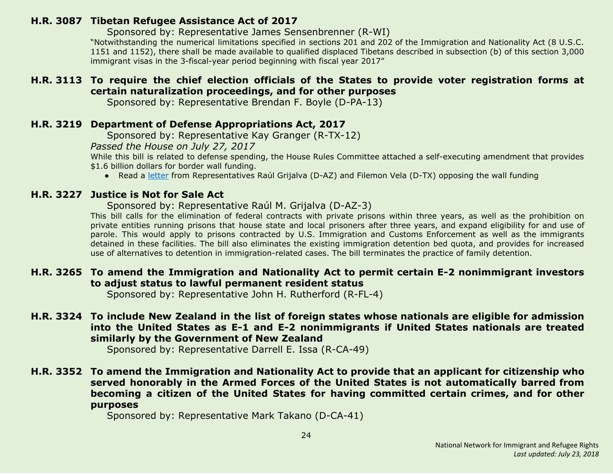#### <span id="page-23-0"></span>**H.R. 3087 Tibetan Refugee Assistance Act of 2017**

Sponsored by: Representative James Sensenbrenner (R-WI)

"Notwithstanding the numerical limitations specified in sections 201 and 202 of the Immigration and Nationality Act (8 U.S.C. 1151 and 1152), there shall be made available to qualified displaced Tibetans described in subsection (b) of this section 3,000 immigrant visas in the 3-fiscal-year period beginning with fiscal year 2017"

# <span id="page-23-4"></span>**H.R. 3113 To require the chief election officials of the States to provide voter registration forms at certain naturalization proceedings, and for other purposes**

Sponsored by: Representative Brendan F. Boyle (D-PA-13)

# <span id="page-23-1"></span>**H.R. 3219 Department of Defense Appropriations Act, 2017**

Sponsored by: Representative Kay Granger (R-TX-12)

*Passed the House on July 27, 2017*

While this bill is related to defense spending, the House Rules Committee attached a self-executing amendment that provides \$1.6 billion dollars for border wall funding.

● Read a [letter](https://grijalva.house.gov/news-and-press-releases/grijalva-and-vela-lead-letter-opposing-funding-and-construction-of-border-wall/) from Representatives Raúl Grijalva (D-AZ) and Filemon Vela (D-TX) opposing the wall funding

# <span id="page-23-5"></span>**H.R. 3227 Justice is Not for Sale Act**

Sponsored by: Representative Raúl M. Grijalva (D-AZ-3)

This bill calls for the elimination of federal contracts with private prisons within three years, as well as the prohibition on private entities running prisons that house state and local prisoners after three years, and expand eligibility for and use of parole. This would apply to prisons contracted by U.S. Immigration and Customs Enforcement as well as the immigrants detained in these facilities. The bill also eliminates the existing immigration detention bed quota, and provides for increased use of alternatives to detention in immigration-related cases. The bill terminates the practice of family detention.

#### <span id="page-23-2"></span>**H.R. 3265 To amend the Immigration and Nationality Act to permit certain E-2 nonimmigrant investors to adjust status to lawful permanent resident status**

Sponsored by: Representative John H. Rutherford (R-FL-4)

# <span id="page-23-3"></span>**H.R. 3324 To include New Zealand in the list of foreign states whose nationals are eligible for admission into the United States as E-1 and E-2 nonimmigrants if United States nationals are treated similarly by the Government of New Zealand**

Sponsored by: Representative Darrell E. Issa (R-CA-49)

#### <span id="page-23-6"></span>**H.R. 3352 To amend the Immigration and Nationality Act to provide that an applicant for citizenship who served honorably in the Armed Forces of the United States is not automatically barred from becoming a citizen of the United States for having committed certain crimes, and for other purposes**

Sponsored by: Representative Mark Takano (D-CA-41)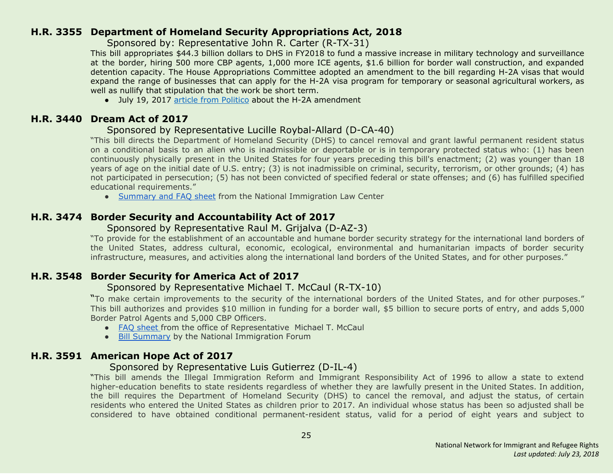#### <span id="page-24-0"></span>**H.R. 3355 Department of Homeland Security Appropriations Act, 2018**

Sponsored by: Representative John R. Carter (R-TX-31)

This bill appropriates \$44.3 billion dollars to DHS in FY2018 to fund a massive increase in military technology and surveillance at the border, hiring 500 more CBP agents, 1,000 more ICE agents, \$1.6 billion for border wall construction, and expanded detention capacity. The House Appropriations Committee adopted an amendment to the bill regarding H-2A visas that would expand the range of businesses that can apply for the H-2A visa program for temporary or seasonal agricultural workers, as well as nullify that stipulation that the work be short term.

• July 19, 2017 article from [Politico](http://www.politico.com/tipsheets/morning-agriculture/2017/07/19/dairy-happy-with-visa-proposal-221406) about the H-2A amendment

#### <span id="page-24-2"></span>**H.R. 3440 Dream Act of 2017**

#### Sponsored by Representative Lucille Roybal-Allard (D-CA-40)

"This bill directs the Department of Homeland Security (DHS) to cancel removal and grant lawful permanent resident status on a conditional basis to an alien who is inadmissible or deportable or is in temporary protected status who: (1) has been continuously physically present in the United States for four years preceding this bill's enactment; (2) was younger than 18 years of age on the initial date of U.S. entry; (3) is not inadmissible on criminal, security, terrorism, or other grounds; (4) has not participated in persecution; (5) has not been convicted of specified federal or state offenses; and (6) has fulfilled specified educational requirements."

● [Summary](https://www.nilc.org/wp-content/uploads/2017/07/DreamAct2017-summary-and-facts-2017-07-24.pdf) and FAQ sheet from the National Immigration Law Center

# <span id="page-24-3"></span>**H.R. 3474 Border Security and Accountability Act of 2017**

#### Sponsored by Representative Raul M. Grijalva (D-AZ-3)

"To provide for the establishment of an accountable and humane border security strategy for the international land borders of the United States, address cultural, economic, ecological, environmental and humanitarian impacts of border security infrastructure, measures, and activities along the international land borders of the United States, and for other purposes."

# <span id="page-24-1"></span>**H.R. 3548 Border Security for America Act of 2017**

#### Sponsored by Representative Michael T. McCaul (R-TX-10)

"To make certain improvements to the security of the international borders of the United States, and for other purposes." This bill authorizes and provides \$10 million in funding for a border wall, \$5 billion to secure ports of entry, and adds 5,000 Border Patrol Agents and 5,000 CBP Officers.

- FAQ [sheet](https://homeland.house.gov/wp-content/uploads/2017/07/Border-Bill-One-Pager1.pdf) from the office of Representative Michael T. McCaul
- Bill [Summary](http://immigrationforum.org/blog/border-security-for-america-act-of-2017-bill-summary/) by the National Immigration Forum

# <span id="page-24-4"></span>**H.R. 3591 American Hope Act of 2017**

#### Sponsored by Representative Luis Gutierrez (D-IL-4)

"This bill amends the Illegal Immigration Reform and Immigrant Responsibility Act of 1996 to allow a state to extend higher-education benefits to state residents regardless of whether they are lawfully present in the United States. In addition, the bill requires the Department of Homeland Security (DHS) to cancel the removal, and adjust the status, of certain residents who entered the United States as children prior to 2017. An individual whose status has been so adjusted shall be considered to have obtained conditional permanent-resident status, valid for a period of eight years and subject to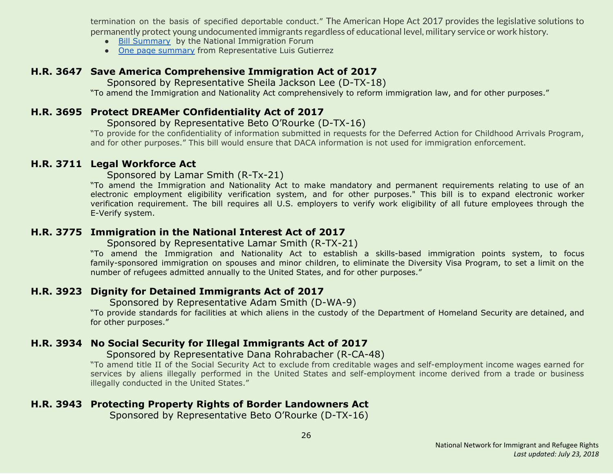termination on the basis of specified deportable conduct." The American Hope Act 2017 provides the legislative solutions to permanently protect young undocumented immigrants regardless of educational level, military service or work history.

- Bill [Summary](http://immigrationforum.org/blog/american-hope-act-of-2017-bill-summary/) by the National Immigration Forum
- One page [summary](https://gutierrez.house.gov/sites/gutierrez.house.gov/files/wysiwyg_uploaded/One%20Page%20Summary%20of%20American%20Hope%20Act%20of%202017.pdf) from Representative Luis Gutierrez

#### <span id="page-25-3"></span>**H.R. 3647 Save America Comprehensive Immigration Act of 2017**

Sponsored by Representative Sheila Jackson Lee (D-TX-18)

"To amend the Immigration and Nationality Act comprehensively to reform immigration law, and for other purposes."

#### <span id="page-25-4"></span>**H.R. 3695 Protect DREAMer COnfidentiality Act of 2017**

#### Sponsored by Representative Beto O'Rourke (D-TX-16)

"To provide for the confidentiality of information submitted in requests for the Deferred Action for Childhood Arrivals Program, and for other purposes." This bill would ensure that DACA information is not used for immigration enforcement.

#### <span id="page-25-0"></span>**H.R. 3711 Legal Workforce Act**

Sponsored by Lamar Smith (R-Tx-21)

"To amend the Immigration and Nationality Act to make mandatory and permanent requirements relating to use of an electronic employment eligibility verification system, and for other purposes." This bill is to expand electronic worker verification requirement. The bill requires all U.S. employers to verify work eligibility of all future employees through the E-Verify system.

#### <span id="page-25-1"></span>**H.R. 3775 Immigration in the National Interest Act of 2017**

Sponsored by Representative Lamar Smith (R-TX-21)

"To amend the Immigration and Nationality Act to establish a skills-based immigration points system, to focus family-sponsored immigration on spouses and minor children, to eliminate the Diversity Visa Program, to set a limit on the number of refugees admitted annually to the United States, and for other purposes."

# <span id="page-25-5"></span>**H.R. 3923 Dignity for Detained Immigrants Act of 2017**

Sponsored by Representative Adam Smith (D-WA-9)

"To provide standards for facilities at which aliens in the custody of the Department of Homeland Security are detained, and for other purposes."

# <span id="page-25-2"></span>**H.R. 3934 No Social Security for Illegal Immigrants Act of 2017**

#### Sponsored by Representative Dana Rohrabacher (R-CA-48)

"To amend title II of the Social Security Act to exclude from creditable wages and self-employment income wages earned for services by aliens illegally performed in the United States and self-employment income derived from a trade or business illegally conducted in the United States."

# <span id="page-25-6"></span>**H.R. 3943 Protecting Property Rights of Border Landowners Act**

Sponsored by Representative Beto O'Rourke (D-TX-16)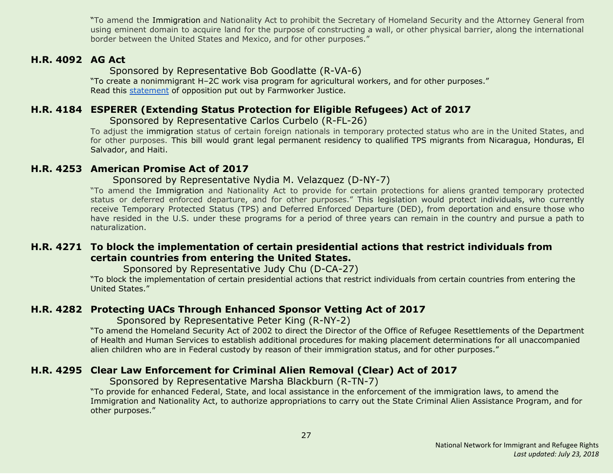"To amend the Immigration and Nationality Act to prohibit the Secretary of Homeland Security and the Attorney General from using eminent domain to acquire land for the purpose of constructing a wall, or other physical barrier, along the international border between the United States and Mexico, and for other purposes."

#### <span id="page-26-0"></span>**H.R. 4092 AG Act**

Sponsored by Representative Bob Goodlatte (R-VA-6)

"To create a nonimmigrant H–2C work visa program for agricultural workers, and for other purposes." Read this [statement](http://www.nnirr.org/drupal/sites/default/files/goodlatte_fact_sheet_-_10.27postmarkupfinal_.pdf) of opposition put out by Farmworker Justice.

#### <span id="page-26-1"></span>**H.R. 4184 ESPERER (Extending Status Protection for Eligible Refugees) Act of 2017**

 Sponsored by Representative Carlos Curbelo (R-FL-26)

To adjust the immigration status of certain foreign nationals in temporary protected status who are in the United States, and for other purposes. This bill would grant legal permanent residency to qualified TPS migrants from Nicaragua, Honduras, El Salvador, and Haiti.

#### <span id="page-26-4"></span>**H.R. 4253 American Promise Act of 2017**

#### Sponsored by Representative Nydia M. Velazquez (D-NY-7)

"To amend the Immigration and Nationality Act to provide for certain protections for aliens granted temporary protected status or deferred enforced departure, and for other purposes." This legislation would protect individuals, who currently receive Temporary Protected Status (TPS) and Deferred Enforced Departure (DED), from deportation and ensure those who have resided in the U.S. under these programs for a period of three years can remain in the country and pursue a path to naturalization.

#### <span id="page-26-5"></span>**H.R. 4271 To block the implementation of certain presidential actions that restrict individuals from certain countries from entering the United States.**

Sponsored by Representative Judy Chu (D-CA-27)

"To block the implementation of certain presidential actions that restrict individuals from certain countries from entering the United States."

#### <span id="page-26-2"></span>**H.R. 4282 Protecting UACs Through Enhanced Sponsor Vetting Act of 2017**

Sponsored by Representative Peter King (R-NY-2)

"To amend the Homeland Security Act of 2002 to direct the Director of the Office of Refugee Resettlements of the Department of Health and Human Services to establish additional procedures for making placement determinations for all unaccompanied alien children who are in Federal custody by reason of their immigration status, and for other purposes."

#### <span id="page-26-3"></span>**H.R. 4295 Clear Law Enforcement for Criminal Alien Removal (Clear) Act of 2017**

Sponsored by Representative Marsha Blackburn (R-TN-7)

"To provide for enhanced Federal, State, and local assistance in the enforcement of the immigration laws, to amend the Immigration and Nationality Act, to authorize appropriations to carry out the State Criminal Alien Assistance Program, and for other purposes."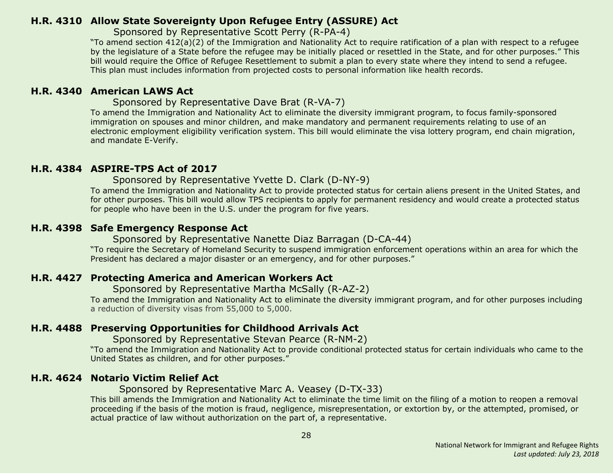#### <span id="page-27-0"></span>**H.R. 4310 Allow State Sovereignty Upon Refugee Entry (ASSURE) Act**

Sponsored by Representative Scott Perry (R-PA-4)

"To amend section 412(a)(2) of the Immigration and Nationality Act to require ratification of a plan with respect to a refugee by the legislature of a State before the refugee may be initially placed or resettled in the State, and for other purposes." This bill would require the Office of Refugee Resettlement to submit a plan to every state where they intend to send a refugee. This plan must includes information from projected costs to personal information like health records.

#### <span id="page-27-1"></span>**H.R. 4340 American LAWS Act**

Sponsored by Representative Dave Brat (R-VA-7)

To amend the Immigration and Nationality Act to eliminate the diversity immigrant program, to focus family-sponsored immigration on spouses and minor children, and make mandatory and permanent requirements relating to use of an electronic employment eligibility verification system. This bill would eliminate the visa lottery program, end chain migration, and mandate E-Verify.

#### <span id="page-27-4"></span>**H.R. 4384 ASPIRE-TPS Act of 2017**

Sponsored by Representative Yvette D. Clark (D-NY-9)

To amend the Immigration and Nationality Act to provide protected status for certain aliens present in the United States, and for other purposes. This bill would allow TPS recipients to apply for permanent residency and would create a protected status for people who have been in the U.S. under the program for five years.

#### <span id="page-27-5"></span>**H.R. 4398 Safe Emergency Response Act**

Sponsored by Representative Nanette Diaz Barragan (D-CA-44)

"To require the Secretary of Homeland Security to suspend immigration enforcement operations within an area for which the President has declared a major disaster or an emergency, and for other purposes."

#### <span id="page-27-2"></span>**H.R. 4427 Protecting America and American Workers Act**

Sponsored by Representative Martha McSally (R-AZ-2)

To amend the Immigration and Nationality Act to eliminate the diversity immigrant program, and for other purposes including a reduction of diversity visas from 55,000 to 5,000.

# <span id="page-27-3"></span>**H.R. 4488 Preserving Opportunities for Childhood Arrivals Act**

Sponsored by Representative Stevan Pearce (R-NM-2)

"To amend the Immigration and Nationality Act to provide conditional protected status for certain individuals who came to the United States as children, and for other purposes."

# <span id="page-27-6"></span>**H.R. 4624 Notario Victim Relief Act**

#### Sponsored by Representative Marc A. Veasey (D-TX-33)

This bill amends the Immigration and Nationality Act to eliminate the time limit on the filing of a motion to reopen a removal proceeding if the basis of the motion is fraud, negligence, misrepresentation, or extortion by, or the attempted, promised, or actual practice of law without authorization on the part of, a representative.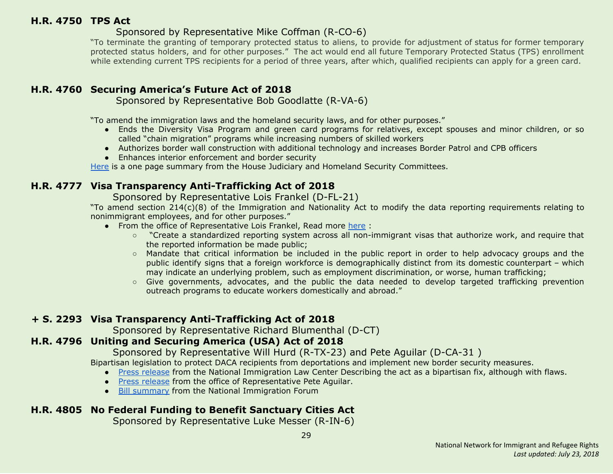#### <span id="page-28-0"></span>**H.R. 4750 TPS Act**

#### Sponsored by Representative Mike Coffman (R-CO-6)

"To terminate the granting of temporary protected status to aliens, to provide for adjustment of status for former temporary protected status holders, and for other purposes." The act would end all future Temporary Protected Status (TPS) enrollment while extending current TPS recipients for a period of three years, after which, qualified recipients can apply for a green card.

# <span id="page-28-1"></span>**H.R. 4760 Securing America's Future Act of 2018**

Sponsored by Representative Bob Goodlatte (R-VA-6)

"To amend the immigration laws and the homeland security laws, and for other purposes."

- Ends the Diversity Visa Program and green card programs for relatives, except spouses and minor children, or so called "chain migration" programs while increasing numbers of skilled workers
- Authorizes border wall construction with additional technology and increases Border Patrol and CPB officers
- Enhances interior enforcement and border security

[Here](https://judiciary.house.gov/wp-content/uploads/2018/01/011018-Securing-Americas-Future-Act-Final.pdf) is a one page summary from the House Judiciary and Homeland Security Committees.

# <span id="page-28-4"></span>**H.R. 4777 Visa Transparency Anti-Trafficking Act of 2018**

Sponsored by Representative Lois Frankel (D-FL-21)

"To amend section 214(c)(8) of the Immigration and Nationality Act to modify the data reporting requirements relating to nonimmigrant employees, and for other purposes."

- From the office of Representative Lois Frankel, Read more [here](https://frankel.house.gov/news/documentsingle.aspx?DocumentID=678) :
	- "Create a standardized reporting system across all non-immigrant visas that authorize work, and require that the reported information be made public;
	- Mandate that critical information be included in the public report in order to help advocacy groups and the public identify signs that a foreign workforce is demographically distinct from its domestic counterpart – which may indicate an underlying problem, such as employment discrimination, or worse, human trafficking;
	- Give governments, advocates, and the public the data needed to develop targeted trafficking prevention outreach programs to educate workers domestically and abroad."

# **+ S. 2293 Visa Transparency Anti-Trafficking Act of 2018**

Sponsored by Representative Richard Blumenthal (D-CT)

# <span id="page-28-2"></span>**H.R. 4796 Uniting and Securing America (USA) Act of 2018**

Sponsored by Representative Will Hurd (R-TX-23) and Pete Aguilar (D-CA-31 )

Bipartisan legislation to protect DACA recipients from deportations and implement new border security measures.

- Press [release](https://www.nilc.org/2018/01/16/response-to-introduction-of-usa-act/) from the National Immigration Law Center Describing the act as a bipartisan fix, although with flaws.
- Press [release](https://aguilar.house.gov/media-center/press-releases/reps-hurd-aguilar-denham-drive-bipartisan-daca-border-security-solution) from the office of Representative Pete Aguilar.
- Bill [summary](http://immigrationforum.org/wp-content/uploads/2018/01/Uniting-and-Securing-America-USA-Act-Bill-Summary-.pdf) from the National Immigration Forum

# <span id="page-28-3"></span>**H.R. 4805 No Federal Funding to Benefit Sanctuary Cities Act**

Sponsored by Representative Luke Messer (R-IN-6)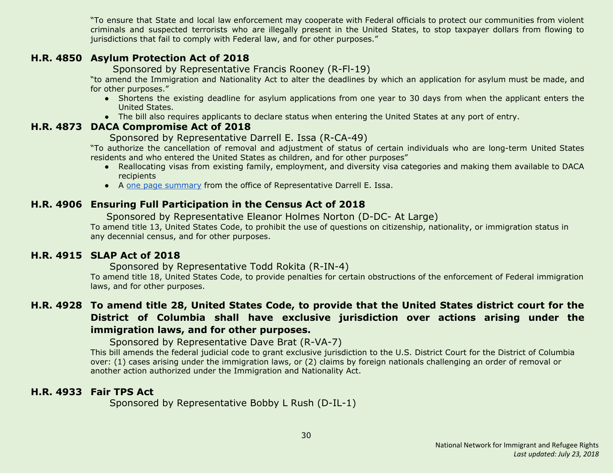"To ensure that State and local law enforcement may cooperate with Federal officials to protect our communities from violent criminals and suspected terrorists who are illegally present in the United States, to stop taxpayer dollars from flowing to jurisdictions that fail to comply with Federal law, and for other purposes."

#### <span id="page-29-0"></span>**H.R. 4850 Asylum Protection Act of 2018**

Sponsored by Representative Francis Rooney (R-Fl-19)

"to amend the Immigration and Nationality Act to alter the deadlines by which an application for asylum must be made, and for other purposes."

- Shortens the existing deadline for asylum applications from one year to 30 days from when the applicant enters the United States.
- The bill also requires applicants to declare status when entering the United States at any port of entry.

#### <span id="page-29-1"></span>**H.R. 4873 DACA Compromise Act of 2018**

#### Sponsored by Representative Darrell E. Issa (R-CA-49)

"To authorize the cancellation of removal and adjustment of status of certain individuals who are long-term United States residents and who entered the United States as children, and for other purposes"

- Reallocating visas from existing family, employment, and diversity visa categories and making them available to DACA recipients
- A one page [summary](https://issa.house.gov/sites/issa.house.gov/files/Summary%20of%20the%20DACA%20Compromise%20Act%20of%202018.pdf) from the office of Representative Darrell E. Issa.

#### <span id="page-29-4"></span>**H.R. 4906 Ensuring Full Participation in the Census Act of 2018**

Sponsored by Representative Eleanor Holmes Norton (D-DC- At Large)

To amend title 13, United States Code, to prohibit the use of questions on citizenship, nationality, or immigration status in any decennial census, and for other purposes.

#### <span id="page-29-2"></span>**H.R. 4915 SLAP Act of 2018**

Sponsored by Representative Todd Rokita (R-IN-4)

To amend title 18, United States Code, to provide penalties for certain obstructions of the enforcement of Federal immigration laws, and for other purposes.

# <span id="page-29-3"></span>H.R. 4928 To amend title 28, United States Code, to provide that the United States district court for the **District of Columbia shall have exclusive jurisdiction over actions arising under the immigration laws, and for other purposes.**

Sponsored by Representative Dave Brat (R-VA-7)

This bill amends the federal judicial code to grant exclusive jurisdiction to the U.S. District Court for the District of Columbia over: (1) cases arising under the immigration laws, or (2) claims by foreign nationals challenging an order of removal or another action authorized under the Immigration and Nationality Act.

# <span id="page-29-5"></span>**H.R. 4933 Fair TPS Act**

Sponsored by Representative Bobby L Rush (D-IL-1)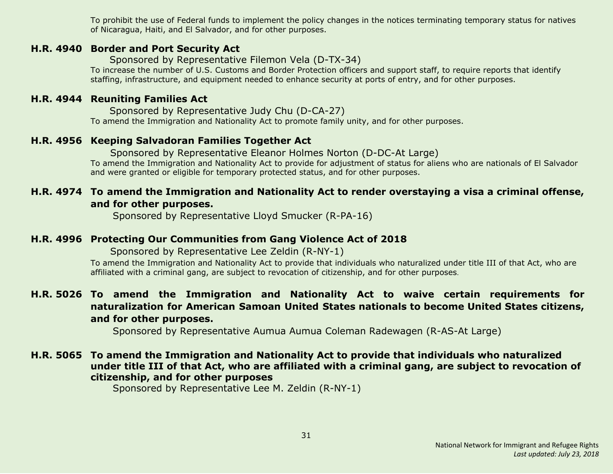To prohibit the use of Federal funds to implement the policy changes in the notices terminating temporary status for natives of Nicaragua, Haiti, and El Salvador, and for other purposes.

#### <span id="page-30-4"></span>**H.R. 4940 Border and Port Security Act**

Sponsored by Representative Filemon Vela (D-TX-34)

To increase the number of U.S. Customs and Border Protection officers and support staff, to require reports that identify staffing, infrastructure, and equipment needed to enhance security at ports of entry, and for other purposes.

#### <span id="page-30-5"></span>**H.R. 4944 Reuniting Families Act**

Sponsored by Representative Judy Chu (D-CA-27) To amend the Immigration and Nationality Act to promote family unity, and for other purposes.

#### <span id="page-30-6"></span>**H.R. 4956 Keeping Salvadoran Families Together Act**

 Sponsored by Representative Eleanor Holmes Norton (D-DC-At Large) To amend the Immigration and Nationality Act to provide for adjustment of status for aliens who are nationals of El Salvador and were granted or eligible for temporary protected status, and for other purposes.

#### <span id="page-30-0"></span>**H.R. 4974 To amend the Immigration and Nationality Act to render overstaying a visa a criminal offense, and for other purposes.**

Sponsored by Representative Lloyd Smucker (R-PA-16)

#### <span id="page-30-1"></span>**H.R. 4996 Protecting Our Communities from Gang Violence Act of 2018**

Sponsored by Representative Lee Zeldin (R-NY-1)

To amend the Immigration and Nationality Act to provide that individuals who naturalized under title III of that Act, who are affiliated with a criminal gang, are subject to revocation of citizenship, and for other purposes.

# <span id="page-30-2"></span>**H.R. 5026 To amend the Immigration and Nationality Act to waive certain requirements for naturalization for American Samoan United States nationals to become United States citizens, and for other purposes.**

Sponsored by Representative Aumua Aumua Coleman Radewagen (R-AS-At Large)

#### <span id="page-30-3"></span>**H.R. 5065 To amend the Immigration and Nationality Act to provide that individuals who naturalized under title III of that Act, who are affiliated with a criminal gang, are subject to revocation of citizenship, and for other purposes**

Sponsored by Representative Lee M. Zeldin (R-NY-1)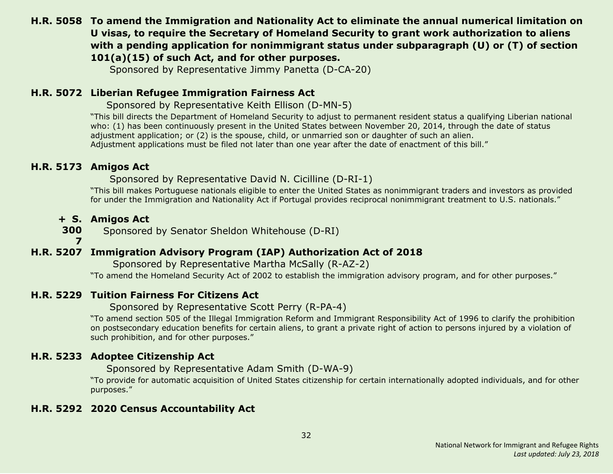# <span id="page-31-1"></span>**H.R. 5058 To amend the Immigration and Nationality Act to eliminate the annual numerical limitation on U visas, to require the Secretary of Homeland Security to grant work authorization to aliens with a pending application for nonimmigrant status under subparagraph (U) or (T) of section 101(a)(15) of such Act, and for other purposes.**

Sponsored by Representative Jimmy Panetta (D-CA-20)

#### <span id="page-31-2"></span>**H.R. 5072 Liberian Refugee Immigration Fairness Act**

Sponsored by Representative Keith Ellison (D-MN-5)

"This bill directs the Department of Homeland Security to adjust to permanent resident status a qualifying Liberian national who: (1) has been continuously present in the United States between November 20, 2014, through the date of status adjustment application; or (2) is the spouse, child, or unmarried son or daughter of such an alien. Adjustment applications must be filed not later than one year after the date of enactment of this bill."

#### <span id="page-31-3"></span>**H.R. 5173 Amigos Act**

Sponsored by Representative David N. Cicilline (D-RI-1)

"This bill makes Portuguese nationals eligible to enter the United States as nonimmigrant traders and investors as provided for under the Immigration and Nationality Act if Portugal provides reciprocal nonimmigrant treatment to U.S. nationals."

#### **+ S. Amigos Act**

**300** Sponsored by Senator Sheldon Whitehouse (D-RI)

**7**

# <span id="page-31-0"></span>**H.R. 5207 Immigration Advisory Program (IAP) Authorization Act of 2018**

Sponsored by Representative Martha McSally (R-AZ-2)

"To amend the Homeland Security Act of 2002 to establish the immigration advisory program, and for other purposes."

# <span id="page-31-6"></span>**H.R. 5229 Tuition Fairness For Citizens Act**

Sponsored by Representative Scott Perry (R-PA-4)

"To amend section 505 of the Illegal Immigration Reform and Immigrant Responsibility Act of 1996 to clarify the prohibition on postsecondary education benefits for certain aliens, to grant a private right of action to persons injured by a violation of such prohibition, and for other purposes."

# <span id="page-31-4"></span>**H.R. 5233 Adoptee Citizenship Act**

Sponsored by Representative Adam Smith (D-WA-9)

"To provide for automatic acquisition of United States citizenship for certain internationally adopted individuals, and for other purposes."

# <span id="page-31-5"></span>**H.R. 5292 2020 Census Accountability Act**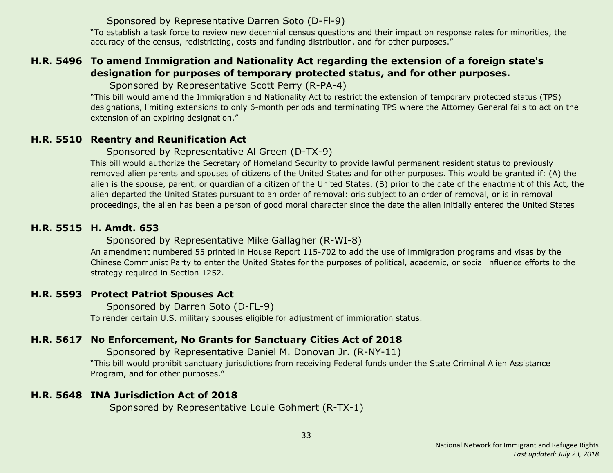#### Sponsored by Representative Darren Soto (D-Fl-9)

"To establish a task force to review new decennial census questions and their impact on response rates for minorities, the accuracy of the census, redistricting, costs and funding distribution, and for other purposes."

# <span id="page-32-2"></span>**H.R. 5496 To amend Immigration and Nationality Act regarding the extension of a foreign state's designation for purposes of temporary protected status, and for other purposes.**

Sponsored by Representative Scott Perry (R-PA-4)

"This bill would amend the Immigration and Nationality Act to restrict the extension of temporary protected status (TPS) designations, limiting extensions to only 6-month periods and terminating TPS where the Attorney General fails to act on the extension of an expiring designation."

# <span id="page-32-0"></span>**H.R. 5510 Reentry and Reunification Act**

Sponsored by Representative Al Green (D-TX-9)

This bill would authorize the Secretary of Homeland Security to provide lawful permanent resident status to previously removed alien parents and spouses of citizens of the United States and for other purposes. This would be granted if: (A) the alien is the spouse, parent, or guardian of a citizen of the United States, (B) prior to the date of the enactment of this Act, the alien departed the United States pursuant to an order of removal: oris subject to an order of removal, or is in removal proceedings, the alien has been a person of good moral character since the date the alien initially entered the United States

# <span id="page-32-3"></span>**H.R. 5515 H. Amdt. 653**

# Sponsored by Representative Mike Gallagher (R-WI-8)

An amendment numbered 55 printed in House Report 115-702 to add the use of immigration programs and visas by the Chinese Communist Party to enter the United States for the purposes of political, academic, or social influence efforts to the strategy required in Section 1252.

# <span id="page-32-1"></span>**H.R. 5593 Protect Patriot Spouses Act**

Sponsored by Darren Soto (D-FL-9) To render certain U.S. military spouses eligible for adjustment of immigration status.

# <span id="page-32-4"></span>**H.R. 5617 No Enforcement, No Grants for Sanctuary Cities Act of 2018**

Sponsored by Representative Daniel M. Donovan Jr. (R-NY-11)

"This bill would prohibit sanctuary jurisdictions from receiving Federal funds under the State Criminal Alien Assistance Program, and for other purposes."

# <span id="page-32-5"></span>**H.R. 5648 INA Jurisdiction Act of 2018**

Sponsored by Representative Louie Gohmert (R-TX-1)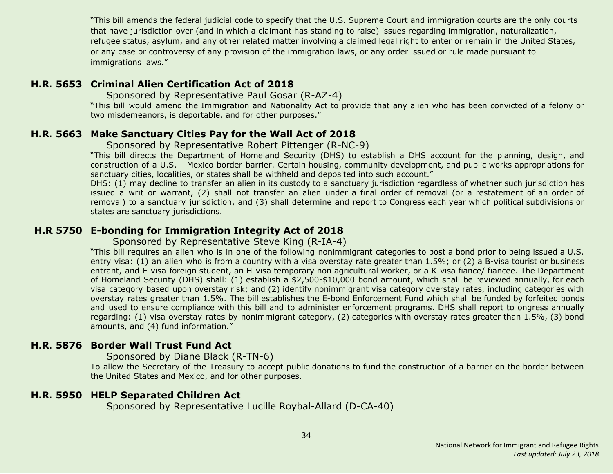"This bill amends the federal judicial code to specify that the U.S. Supreme Court and immigration courts are the only courts that have jurisdiction over (and in which a claimant has standing to raise) issues regarding immigration, naturalization, refugee status, asylum, and any other related matter involving a claimed legal right to enter or remain in the United States, or any case or controversy of any provision of the immigration laws, or any order issued or rule made pursuant to immigrations laws."

#### <span id="page-33-2"></span>**H.R. 5653 Criminal Alien Certification Act of 2018**

Sponsored by Representative Paul Gosar (R-AZ-4)

"This bill would amend the Immigration and Nationality Act to provide that any alien who has been convicted of a felony or two misdemeanors, is deportable, and for other purposes."

#### <span id="page-33-1"></span>**H.R. 5663 Make Sanctuary Cities Pay for the Wall Act of 2018**

#### Sponsored by Representative Robert Pittenger (R-NC-9)

"This bill directs the Department of Homeland Security (DHS) to establish a DHS account for the planning, design, and construction of a U.S. - Mexico border barrier. Certain housing, community development, and public works appropriations for sanctuary cities, localities, or states shall be withheld and deposited into such account."

DHS: (1) may decline to transfer an alien in its custody to a sanctuary jurisdiction regardless of whether such jurisdiction has issued a writ or warrant, (2) shall not transfer an alien under a final order of removal (or a restatement of an order of removal) to a sanctuary jurisdiction, and (3) shall determine and report to Congress each year which political subdivisions or states are sanctuary jurisdictions.

#### <span id="page-33-3"></span>**H.R 5750 E-bonding for Immigration Integrity Act of 2018**

Sponsored by Representative Steve King (R-IA-4)

"This bill requires an alien who is in one of the following nonimmigrant categories to post a bond prior to being issued a U.S. entry visa: (1) an alien who is from a country with a visa overstay rate greater than 1.5%; or (2) a B-visa tourist or business entrant, and F-visa foreign student, an H-visa temporary non agricultural worker, or a K-visa fiance/ fiancee. The Department of Homeland Security (DHS) shall: (1) establish a \$2,500-\$10,000 bond amount, which shall be reviewed annually, for each visa category based upon overstay risk; and (2) identify nonimmigrant visa category overstay rates, including categories with overstay rates greater than 1.5%. The bill establishes the E-bond Enforcement Fund which shall be funded by forfeited bonds and used to ensure compliance with this bill and to administer enforcement programs. DHS shall report to ongress annually regarding: (1) visa overstay rates by nonimmigrant category, (2) categories with overstay rates greater than 1.5%, (3) bond amounts, and (4) fund information."

#### <span id="page-33-4"></span>**H.R. 5876 Border Wall Trust Fund Act**

Sponsored by Diane Black (R-TN-6)

To allow the Secretary of the Treasury to accept public donations to fund the construction of a barrier on the border between the United States and Mexico, and for other purposes.

#### <span id="page-33-0"></span>**H.R. 5950 HELP Separated Children Act**

Sponsored by Representative Lucille Roybal-Allard (D-CA-40)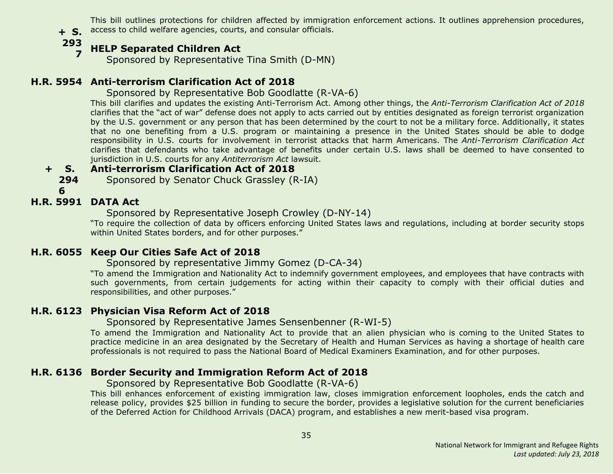**+ S.** access to child welfare agencies, courts, and consular officials. This bill outlines protections for children affected by immigration enforcement actions. It outlines apprehension procedures,

**293**

#### **7 HELP Separated Children Act**

Sponsored by Representative Tina Smith (D-MN)

# <span id="page-34-0"></span>**H.R. 5954 Anti-terrorism Clarification Act of 2018**

#### Sponsored by Representative Bob Goodlatte (R-VA-6)

This bill clarifies and updates the existing Anti-Terrorism Act. Among other things, the *Anti-Terrorism Clarification Act of 2018* clarifies that the "act of war" defense does not apply to acts carried out by entities designated as foreign terrorist organization by the U.S. government or any person that has been determined by the court to not be a military force. Additionally, it states that no one benefiting from a U.S. program or maintaining a presence in the United States should be able to dodge responsibility in U.S. courts for involvement in terrorist attacks that harm Americans. The *Anti-Terrorism Clarification Act* clarifies that defendants who take advantage of benefits under certain U.S. laws shall be deemed to have consented to jurisdiction in U.S. courts for any *Antiterrorism Act* lawsuit.

#### **+ S. Anti-terrorism Clarification Act of 2018**

**294** Sponsored by Senator Chuck Grassley (R-IA)

**6**

# <span id="page-34-1"></span>**H.R. 5991 DATA Act**

Sponsored by Representative Joseph Crowley (D-NY-14)

"To require the collection of data by officers enforcing United States laws and regulations, including at border security stops within United States borders, and for other purposes."

# <span id="page-34-2"></span>**H.R. 6055 Keep Our Cities Safe Act of 2018**

#### Sponsored by representative Jimmy Gomez (D-CA-34)

"To amend the Immigration and Nationality Act to indemnify government employees, and employees that have contracts with such governments, from certain judgements for acting within their capacity to comply with their official duties and responsibilities, and other purposes."

# <span id="page-34-3"></span>**H.R. 6123 Physician Visa Reform Act of 2018**

#### Sponsored by Representative James Sensenbenner (R-WI-5)

To amend the Immigration and Nationality Act to provide that an alien physician who is coming to the United States to practice medicine in an area designated by the Secretary of Health and Human Services as having a shortage of health care professionals is not required to pass the National Board of Medical Examiners Examination, and for other purposes.

# <span id="page-34-4"></span>**H.R. 6136 Border Security and Immigration Reform Act of 2018**

#### Sponsored by Representative Bob Goodlatte (R-VA-6)

This bill enhances enforcement of existing immigration law, closes immigration enforcement loopholes, ends the catch and release policy, provides \$25 billion in funding to secure the border, provides a legislative solution for the current beneficiaries of the Deferred Action for Childhood Arrivals (DACA) program, and establishes a new merit-based visa program.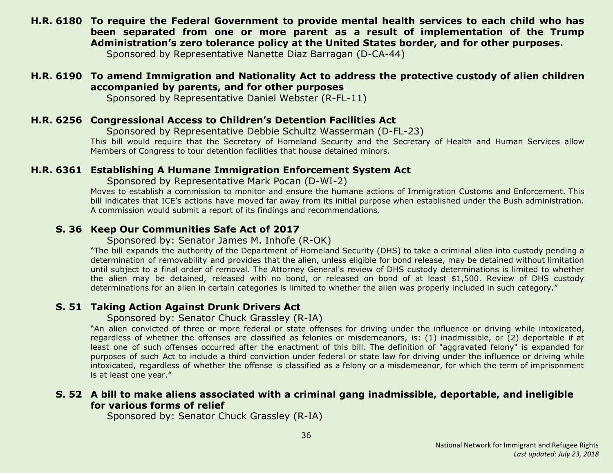<span id="page-35-3"></span>**H.R. 6180 To require the Federal Government to provide mental health services to each child who has been separated from one or more parent as a result of implementation of the Trump Administration's zero tolerance policy at the United States border, and for other purposes.**

Sponsored by Representative Nanette Diaz Barragan (D-CA-44)

# <span id="page-35-6"></span>**H.R. 6190 To amend Immigration and Nationality Act to address the protective custody of alien children accompanied by parents, and for other purposes**

Sponsored by Representative Daniel Webster (R-FL-11)

#### <span id="page-35-4"></span>**H.R. 6256 Congressional Access to Children's Detention Facilities Act**

Sponsored by Representative Debbie Schultz Wasserman (D-FL-23)

This bill would require that the Secretary of Homeland Security and the Secretary of Health and Human Services allow Members of Congress to tour detention facilities that house detained minors.

#### <span id="page-35-5"></span>**H.R. 6361 Establishing A Humane Immigration Enforcement System Act**

Sponsored by Representative Mark Pocan (D-WI-2)

Moves to establish a commission to monitor and ensure the humane actions of Immigration Customs and Enforcement. This bill indicates that ICE's actions have moved far away from its initial purpose when established under the Bush administration. A commission would submit a report of its findings and recommendations.

#### <span id="page-35-0"></span>**S. 36 Keep Our Communities Safe Act of 2017**

#### Sponsored by: Senator James M. Inhofe (R-OK)

"The bill expands the authority of the Department of Homeland Security (DHS) to take a criminal alien into custody pending a determination of removability and provides that the alien, unless eligible for bond release, may be detained without limitation until subject to a final order of removal. The Attorney General's review of DHS custody determinations is limited to whether the alien may be detained, released with no bond, or released on bond of at least \$1,500. Review of DHS custody determinations for an alien in certain categories is limited to whether the alien was properly included in such category."

# <span id="page-35-1"></span>**S. 51 Taking Action Against Drunk Drivers Act**

#### Sponsored by: Senator Chuck Grassley (R-IA)

"An alien convicted of three or more federal or state offenses for driving under the influence or driving while intoxicated, regardless of whether the offenses are classified as felonies or misdemeanors, is: (1) inadmissible, or (2) deportable if at least one of such offenses occurred after the enactment of this bill. The definition of "aggravated felony" is expanded for purposes of such Act to include a third conviction under federal or state law for driving under the influence or driving while intoxicated, regardless of whether the offense is classified as a felony or a misdemeanor, for which the term of imprisonment is at least one year."

#### <span id="page-35-2"></span>**S. 52 A bill to make aliens associated with a criminal gang inadmissible, deportable, and ineligible for various forms of relief**

Sponsored by: Senator Chuck Grassley (R-IA)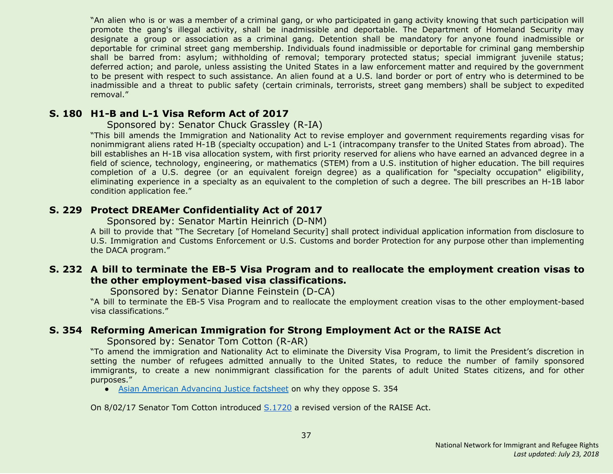"An alien who is or was a member of a criminal gang, or who participated in gang activity knowing that such participation will promote the gang's illegal activity, shall be inadmissible and deportable. The Department of Homeland Security may designate a group or association as a criminal gang. Detention shall be mandatory for anyone found inadmissible or deportable for criminal street gang membership. Individuals found inadmissible or deportable for criminal gang membership shall be barred from: asylum; withholding of removal; temporary protected status; special immigrant juvenile status; deferred action; and parole, unless assisting the United States in a law enforcement matter and required by the government to be present with respect to such assistance. An alien found at a U.S. land border or port of entry who is determined to be inadmissible and a threat to public safety (certain criminals, terrorists, street gang members) shall be subject to expedited removal."

#### <span id="page-36-0"></span>**S. 180 H1-B and L-1 Visa Reform Act of 2017**

#### Sponsored by: Senator Chuck Grassley (R-IA)

"This bill amends the Immigration and Nationality Act to revise employer and government requirements regarding visas for nonimmigrant aliens rated H-1B (specialty occupation) and L-1 (intracompany transfer to the United States from abroad). The bill establishes an H-1B visa allocation system, with first priority reserved for aliens who have earned an advanced degree in a field of science, technology, engineering, or mathematics (STEM) from a U.S. institution of higher education. The bill requires completion of a U.S. degree (or an equivalent foreign degree) as a qualification for "specialty occupation" eligibility, eliminating experience in a specialty as an equivalent to the completion of such a degree. The bill prescribes an H-1B labor condition application fee."

#### <span id="page-36-2"></span>**S. 229 Protect DREAMer Confidentiality Act of 2017**

Sponsored by: Senator Martin Heinrich (D-NM)

A bill to provide that "The Secretary [of Homeland Security] shall protect individual application information from disclosure to U.S. Immigration and Customs Enforcement or U.S. Customs and border Protection for any purpose other than implementing the DACA program."

#### <span id="page-36-3"></span>**S. 232 A bill to terminate the EB-5 Visa Program and to reallocate the employment creation visas to the other employment-based visa classifications.**

Sponsored by: Senator Dianne Feinstein (D-CA)

"A bill to terminate the EB-5 Visa Program and to reallocate the employment creation visas to the other employment-based visa classifications."

#### <span id="page-36-1"></span>**S. 354 Reforming American Immigration for Strong Employment Act or the RAISE Act**

Sponsored by: Senator Tom Cotton (R-AR)

"To amend the immigration and Nationality Act to eliminate the Diversity Visa Program, to limit the President's discretion in setting the number of refugees admitted annually to the United States, to reduce the number of family sponsored immigrants, to create a new nonimmigrant classification for the parents of adult United States citizens, and for other purposes."

• Asian American [Advancing](http://advancingjustice-aajc.org/sites/default/files/2017-04/RAISE%20Act%20Would%20Separate%20Families.pdf) Justice factsheet on why they oppose S. 354

On 8/02/17 Senator Tom Cotton introduced [S.1720](#page-38-3) a revised version of the RAISE Act.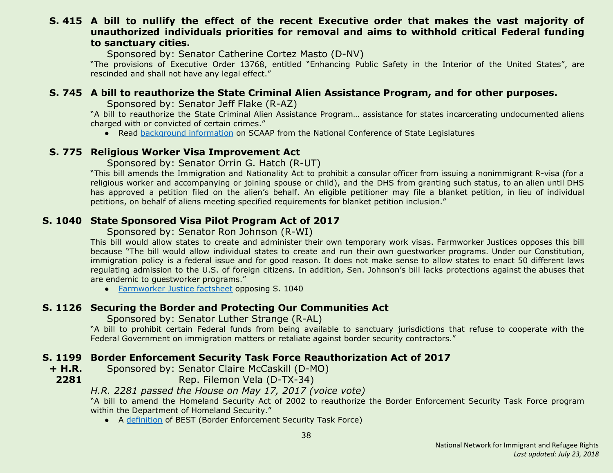#### <span id="page-37-5"></span>**S. 415 A bill to nullify the effect of the recent Executive order that makes the vast majority of unauthorized individuals priorities for removal and aims to withhold critical Federal funding to sanctuary cities.**

Sponsored by: Senator Catherine Cortez Masto (D-NV)

"The provisions of Executive Order 13768, entitled "Enhancing Public Safety in the Interior of the United States", are rescinded and shall not have any legal effect."

#### <span id="page-37-0"></span>**S. 745 A bill to reauthorize the State Criminal Alien Assistance Program, and for other purposes.**

Sponsored by: Senator Jeff Flake (R-AZ)

"A bill to reauthorize the State Criminal Alien Assistance Program… assistance for states incarcerating undocumented aliens charged with or convicted of certain crimes."

• Read [background](http://www.ncsl.org/research/immigration/state-criminal-alien-assistance-program.aspx) information on SCAAP from the National Conference of State Legislatures

#### <span id="page-37-1"></span>**S. 775 Religious Worker Visa Improvement Act**

Sponsored by: Senator Orrin G. Hatch (R-UT)

"This bill amends the Immigration and Nationality Act to prohibit a consular officer from issuing a nonimmigrant R-visa (for a religious worker and accompanying or joining spouse or child), and the DHS from granting such status, to an alien until DHS has approved a petition filed on the alien's behalf. An eligible petitioner may file a blanket petition, in lieu of individual petitions, on behalf of aliens meeting specified requirements for blanket petition inclusion."

#### <span id="page-37-2"></span>**S. 1040 State Sponsored Visa Pilot Program Act of 2017**

Sponsored by: Senator Ron Johnson (R-WI)

This bill would allow states to create and administer their own temporary work visas. Farmworker Justices opposes this bill because "The bill would allow individual states to create and run their own guestworker programs. Under our Constitution, immigration policy is a federal issue and for good reason. It does not make sense to allow states to enact 50 different laws regulating admission to the U.S. of foreign citizens. In addition, Sen. Johnson's bill lacks protections against the abuses that are endemic to guestworker programs."

● [Farmworker](https://www.farmworkerjustice.org/sites/default/files/FJ%20-%20Johnson%20State%20GW%20Bill%20Fact%20Sheet%20-FINAL.pdf) Justice factsheet opposing S. 1040

#### <span id="page-37-3"></span>**S. 1126 Securing the Border and Protecting Our Communities Act**

Sponsored by: Senator Luther Strange (R-AL)

"A bill to prohibit certain Federal funds from being available to sanctuary jurisdictions that refuse to cooperate with the Federal Government on immigration matters or retaliate against border security contractors."

# <span id="page-37-4"></span>**S. 1199 Border Enforcement Security Task Force Reauthorization Act of 2017**

**+ H.R.** Sponsored by: Senator Claire McCaskill (D-MO)

**2281**

Rep. Filemon Vela (D-TX-34)

# *H.R. 2281 passed the House on May 17, 2017 (voice vote)*

"A bill to amend the Homeland Security Act of 2002 to reauthorize the Border Enforcement Security Task Force program within the Department of Homeland Security."

● A [definition](https://www.law.cornell.edu/uscode/text/6/240) of BEST (Border Enforcement Security Task Force)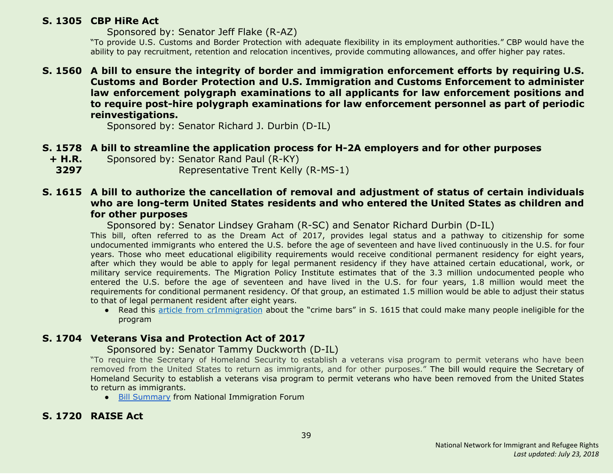#### <span id="page-38-1"></span>**S. 1305 CBP HiRe Act**

Sponsored by: Senator Jeff Flake (R-AZ)

"To provide U.S. Customs and Border Protection with adequate flexibility in its employment authorities." CBP would have the ability to pay recruitment, retention and relocation incentives, provide commuting allowances, and offer higher pay rates.

#### <span id="page-38-4"></span>**S. 1560 A bill to ensure the integrity of border and immigration enforcement efforts by requiring U.S. Customs and Border Protection and U.S. Immigration and Customs Enforcement to administer law enforcement polygraph examinations to all applicants for law enforcement positions and to require post-hire polygraph examinations for law enforcement personnel as part of periodic reinvestigations.**

Sponsored by: Senator Richard J. Durbin (D-IL)

# <span id="page-38-0"></span>**S. 1578 A bill to streamline the application process for H-2A employers and for other purposes**

**+ H.R.** Sponsored by: Senator Rand Paul (R-KY)

**3297** Representative Trent Kelly (R-MS-1)

#### <span id="page-38-2"></span>**S. 1615 A bill to authorize the cancellation of removal and adjustment of status of certain individuals who are long-term United States residents and who entered the United States as children and for other purposes**

Sponsored by: Senator Lindsey Graham (R-SC) and Senator Richard Durbin (D-IL)

This bill, often referred to as the Dream Act of 2017, provides legal status and a pathway to citizenship for some undocumented immigrants who entered the U.S. before the age of seventeen and have lived continuously in the U.S. for four years. Those who meet educational eligibility requirements would receive conditional permanent residency for eight years, after which they would be able to apply for legal permanent residency if they have attained certain educational, work, or military service requirements. The Migration Policy Institute estimates that of the 3.3 million undocumented people who entered the U.S. before the age of seventeen and have lived in the U.S. for four years, 1.8 million would meet the requirements for conditional permanent residency. Of that group, an estimated 1.5 million would be able to adjust their status to that of legal permanent resident after eight years.

● Read this article from [crImmigration](http://crimmigration.com/2017/07/21/dream-act-of-2017-crime-bars/) about the "crime bars" in S. 1615 that could make many people ineligible for the program

# <span id="page-38-5"></span>**S. 1704 Veterans Visa and Protection Act of 2017**

#### Sponsored by: Senator Tammy Duckworth (D-IL)

"To require the Secretary of Homeland Security to establish a veterans visa program to permit veterans who have been removed from the United States to return as immigrants, and for other purposes." The bill would require the Secretary of Homeland Security to establish a veterans visa program to permit veterans who have been removed from the United States to return as immigrants.

● Bill [Summary](http://immigrationforum.org/blog/veterans-and-visa-protection-act-of-2017-bill-summary/) from National Immigration Forum

# <span id="page-38-3"></span>**S. 1720 RAISE Act**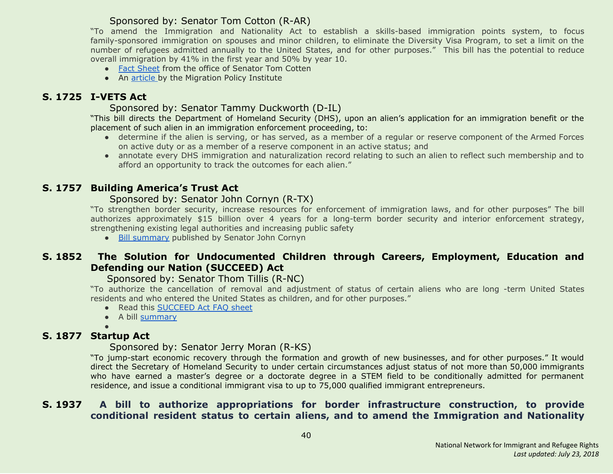# Sponsored by: Senator Tom Cotton (R-AR)

"To amend the Immigration and Nationality Act to establish a skills-based immigration points system, to focus family-sponsored immigration on spouses and minor children, to eliminate the Diversity Visa Program, to set a limit on the number of refugees admitted annually to the United States, and for other purposes." This bill has the potential to reduce overall immigration by 41% in the first year and 50% by year 10.

- Fact [Sheet](http://static.politico.com/fd/af/3eebc635479892982f81bdfe3fa2/raise-act.pdf) from the office of Senator Tom Cotten
- An [article](http://www.migrationpolicy.org/news/raise-act-dramatic-change-family-immigration-less-so-employment-based-system) by the Migration Policy Institute

# <span id="page-39-4"></span>**S. 1725 I-VETS Act**

#### Sponsored by: Senator Tammy Duckworth (D-IL)

"This bill directs the Department of Homeland Security (DHS), upon an alien's application for an immigration benefit or the placement of such alien in an immigration enforcement proceeding, to:

- determine if the alien is serving, or has served, as a member of a regular or reserve component of the Armed Forces on active duty or as a member of a reserve component in an active status; and
- annotate every DHS immigration and naturalization record relating to such an alien to reflect such membership and to afford an opportunity to track the outcomes for each alien."

# <span id="page-39-0"></span>**S. 1757 Building America's Trust Act**

#### Sponsored by: Senator John Cornyn (R-TX)

"To strengthen border security, increase resources for enforcement of immigration laws, and for other purposes" The bill authorizes approximately \$15 billion over 4 years for a long-term border security and interior enforcement strategy, strengthening existing legal authorities and increasing public safety

● Bill [summary](https://www.cornyn.senate.gov/sites/default/files/Building%20America%27s%20Trust%20Act%20-%20One%20Pager.pdf) published by Senator John Cornyn

# <span id="page-39-1"></span>**S. 1852 The Solution for Undocumented Children through Careers, Employment, Education and Defending our Nation (SUCCEED) Act**

#### Sponsored by: Senator Thom Tillis (R-NC)

"To authorize the cancellation of removal and adjustment of status of certain aliens who are long -term United States residents and who entered the United States as children, and for other purposes."

- Read this [SUCCEED](https://www.tillis.senate.gov/public/_cache/files/6a79e1da-2671-427a-9d1c-b3b16376a40c/the-succeed-act-two-pager.pdf) Act FAQ sheet
- A bill [summary](http://immigrationforum.org/blog/the-succeed-act-bill-summary/)

●

# <span id="page-39-2"></span>**S. 1877 Startup Act**

#### Sponsored by: Senator Jerry Moran (R-KS)

"To jump-start economic recovery through the formation and growth of new businesses, and for other purposes." It would direct the Secretary of Homeland Security to under certain circumstances adjust status of not more than 50,000 immigrants who have earned a master's degree or a doctorate degree in a STEM field to be conditionally admitted for permanent residence, and issue a conditional immigrant visa to up to 75,000 qualified immigrant entrepreneurs.

#### <span id="page-39-3"></span>**S. 1937 A bill to authorize appropriations for border infrastructure construction, to provide conditional resident status to certain aliens, and to amend the Immigration and Nationality**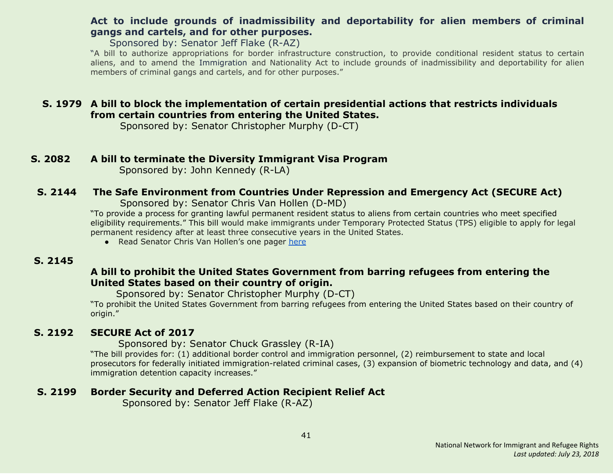# **Act to include grounds of inadmissibility and deportability for alien members of criminal gangs and cartels, and for other purposes.**

Sponsored by: Senator Jeff Flake (R-AZ)

"A bill to authorize appropriations for border infrastructure construction, to provide conditional resident status to certain aliens, and to amend the Immigration and Nationality Act to include grounds of inadmissibility and deportability for alien members of criminal gangs and cartels, and for other purposes."

# <span id="page-40-3"></span>**S. 1979 A bill to block the implementation of certain presidential actions that restricts individuals from certain countries from entering the United States.**

Sponsored by: Senator Christopher Murphy (D-CT)

#### <span id="page-40-0"></span>**S. 2082 A bill to terminate the Diversity Immigrant Visa Program**

Sponsored by: John Kennedy (R-LA)

# <span id="page-40-4"></span> **S. 2144 The Safe Environment from Countries Under Repression and Emergency Act (SECURE Act)**

Sponsored by: Senator Chris Van Hollen (D-MD)

"To provide a process for granting lawful permanent resident status to aliens from certain countries who meet specified eligibility requirements." This bill would make immigrants under Temporary Protected Status (TPS) eligible to apply for legal permanent residency after at least three consecutive years in the United States.

● Read Senator Chris Van Hollen's one pager [here](https://www.vanhollen.senate.gov/sites/default/files/TPS%20One%20Pager.pdf)

#### <span id="page-40-5"></span> **S. 2145**

# **A bill to prohibit the United States Government from barring refugees from entering the United States based on their country of origin.**

Sponsored by: Senator Christopher Murphy (D-CT)

"To prohibit the United States Government from barring refugees from entering the United States based on their country of origin."

# <span id="page-40-1"></span> **S. 2192 SECURE Act of 2017**

 Sponsored by: Senator Chuck Grassley (R-IA)

"The bill provides for: (1) additional border control and immigration personnel, (2) reimbursement to state and local prosecutors for federally initiated immigration-related criminal cases, (3) expansion of biometric technology and data, and (4) immigration detention capacity increases."

# <span id="page-40-2"></span> **S. 2199 Border Security and Deferred Action Recipient Relief Act**

Sponsored by: Senator Jeff Flake (R-AZ)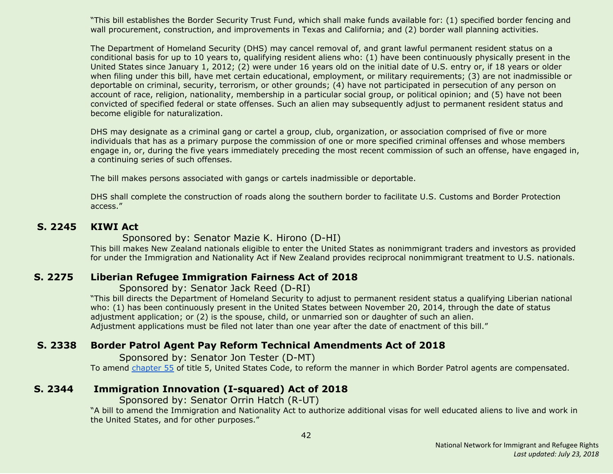"This bill establishes the Border Security Trust Fund, which shall make funds available for: (1) specified border fencing and wall procurement, construction, and improvements in Texas and California; and (2) border wall planning activities.

The Department of Homeland Security (DHS) may cancel removal of, and grant lawful permanent resident status on a conditional basis for up to 10 years to, qualifying resident aliens who: (1) have been continuously physically present in the United States since January 1, 2012; (2) were under 16 years old on the initial date of U.S. entry or, if 18 years or older when filing under this bill, have met certain educational, employment, or military requirements; (3) are not inadmissible or deportable on criminal, security, terrorism, or other grounds; (4) have not participated in persecution of any person on account of race, religion, nationality, membership in a particular social group, or political opinion; and (5) have not been convicted of specified federal or state offenses. Such an alien may subsequently adjust to permanent resident status and become eligible for naturalization.

DHS may designate as a criminal gang or cartel a group, club, organization, or association comprised of five or more individuals that has as a primary purpose the commission of one or more specified criminal offenses and whose members engage in, or, during the five years immediately preceding the most recent commission of such an offense, have engaged in, a continuing series of such offenses.

The bill makes persons associated with gangs or cartels inadmissible or deportable.

DHS shall complete the construction of roads along the southern border to facilitate U.S. Customs and Border Protection access."

#### <span id="page-41-1"></span> **S. 2245 KIWI Act**

#### Sponsored by: Senator Mazie K. Hirono (D-HI)

This bill makes New Zealand nationals eligible to enter the United States as nonimmigrant traders and investors as provided for under the Immigration and Nationality Act if New Zealand provides reciprocal nonimmigrant treatment to U.S. nationals.

#### <span id="page-41-2"></span> **S. 2275 Liberian Refugee Immigration Fairness Act of 2018**

#### Sponsored by: Senator Jack Reed (D-RI)

"This bill directs the Department of Homeland Security to adjust to permanent resident status a qualifying Liberian national who: (1) has been continuously present in the United States between November 20, 2014, through the date of status adjustment application; or (2) is the spouse, child, or unmarried son or daughter of such an alien. Adjustment applications must be filed not later than one year after the date of enactment of this bill."

# <span id="page-41-3"></span> **S. 2338 Border Patrol Agent Pay Reform Technical Amendments Act of 2018**

Sponsored by: Senator Jon Tester (D-MT) To amend [chapter](http://uscode.house.gov/view.xhtml?req=granuleid:USC-prelim-title5-chapter55-front&num=0&edition=prelim) 55 of title 5, United States Code, to reform the manner in which Border Patrol agents are compensated.

# <span id="page-41-0"></span> **S. 2344 Immigration Innovation (I-squared) Act of 2018**

Sponsored by: Senator Orrin Hatch (R-UT)

"A bill to amend the Immigration and Nationality Act to authorize additional visas for well educated aliens to live and work in the United States, and for other purposes."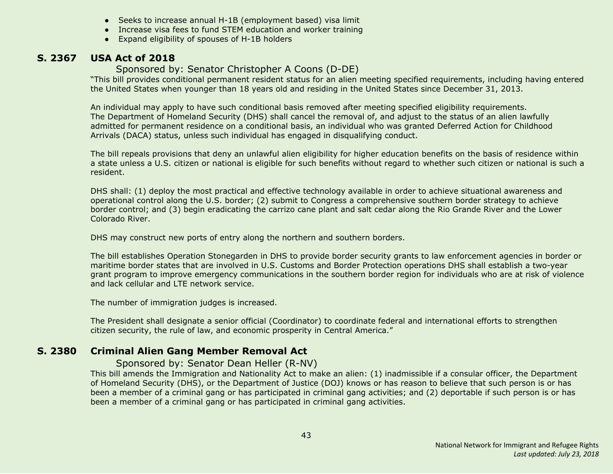- Seeks to increase annual H-1B (employment based) visa limit
- Increase visa fees to fund STEM education and worker training
- Expand eligibility of spouses of H-1B holders

#### <span id="page-42-1"></span> **S. 2367 USA Act of 2018**

#### Sponsored by: Senator Christopher A Coons (D-DE)

"This bill provides conditional permanent resident status for an alien meeting specified requirements, including having entered the United States when younger than 18 years old and residing in the United States since December 31, 2013.

An individual may apply to have such conditional basis removed after meeting specified eligibility requirements. The Department of Homeland Security (DHS) shall cancel the removal of, and adjust to the status of an alien lawfully admitted for permanent residence on a conditional basis, an individual who was granted Deferred Action for Childhood Arrivals (DACA) status, unless such individual has engaged in disqualifying conduct.

The bill repeals provisions that deny an unlawful alien eligibility for higher education benefits on the basis of residence within a state unless a U.S. citizen or national is eligible for such benefits without regard to whether such citizen or national is such a resident.

DHS shall: (1) deploy the most practical and effective technology available in order to achieve situational awareness and operational control along the U.S. border; (2) submit to Congress a comprehensive southern border strategy to achieve border control; and (3) begin eradicating the carrizo cane plant and salt cedar along the Rio Grande River and the Lower Colorado River.

DHS may construct new ports of entry along the northern and southern borders.

The bill establishes Operation Stonegarden in DHS to provide border security grants to law enforcement agencies in border or maritime border states that are involved in U.S. Customs and Border Protection operations DHS shall establish a two-year grant program to improve emergency communications in the southern border region for individuals who are at risk of violence and lack cellular and LTE network service.

The number of immigration judges is increased.

The President shall designate a senior official (Coordinator) to coordinate federal and international efforts to strengthen citizen security, the rule of law, and economic prosperity in Central America."

#### <span id="page-42-0"></span> **S. 2380 Criminal Alien Gang Member Removal Act**

#### Sponsored by: Senator Dean Heller (R-NV)

This bill amends the Immigration and Nationality Act to make an alien: (1) inadmissible if a consular officer, the Department of Homeland Security (DHS), or the Department of Justice (DOJ) knows or has reason to believe that such person is or has been a member of a criminal gang or has participated in criminal gang activities; and (2) deportable if such person is or has been a member of a criminal gang or has participated in criminal gang activities.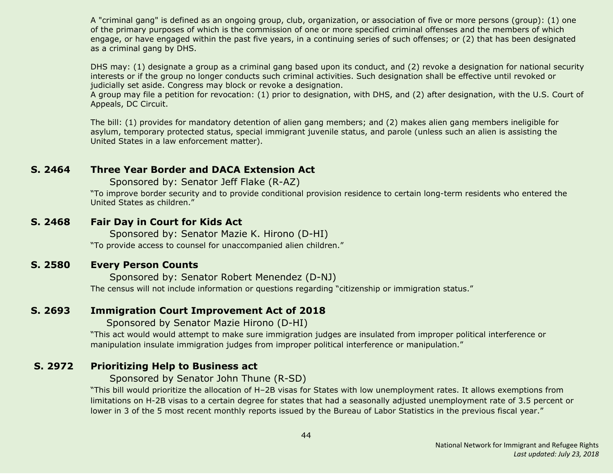A "criminal gang" is defined as an ongoing group, club, organization, or association of five or more persons (group): (1) one of the primary purposes of which is the commission of one or more specified criminal offenses and the members of which engage, or have engaged within the past five years, in a continuing series of such offenses; or (2) that has been designated as a criminal gang by DHS.

DHS may: (1) designate a group as a criminal gang based upon its conduct, and (2) revoke a designation for national security interests or if the group no longer conducts such criminal activities. Such designation shall be effective until revoked or judicially set aside. Congress may block or revoke a designation.

A group may file a petition for revocation: (1) prior to designation, with DHS, and (2) after designation, with the U.S. Court of Appeals, DC Circuit.

The bill: (1) provides for mandatory detention of alien gang members; and (2) makes alien gang members ineligible for asylum, temporary protected status, special immigrant juvenile status, and parole (unless such an alien is assisting the United States in a law enforcement matter).

#### <span id="page-43-0"></span>**S. 2464 Three Year Border and DACA Extension Act**

Sponsored by: Senator Jeff Flake (R-AZ)

"To improve border security and to provide conditional provision residence to certain long-term residents who entered the United States as children."

#### <span id="page-43-2"></span>**S. 2468 Fair Day in Court for Kids Act**

Sponsored by: Senator Mazie K. Hirono (D-HI)

"To provide access to counsel for unaccompanied alien children."

#### <span id="page-43-3"></span>**S. 2580 Every Person Counts**

Sponsored by: Senator Robert Menendez (D-NJ) The census will not include information or questions regarding "citizenship or immigration status."

#### <span id="page-43-4"></span>**S. 2693 Immigration Court Improvement Act of 2018**

Sponsored by Senator Mazie Hirono (D-HI)

"This act would would attempt to make sure immigration judges are insulated from improper political interference or manipulation insulate immigration judges from improper political interference or manipulation."

#### <span id="page-43-1"></span> **S. 2972 Prioritizing Help to Business act**

Sponsored by Senator John Thune (R-SD)

"This bill would prioritize the allocation of H–2B visas for States with low unemployment rates. It allows exemptions from limitations on H-2B visas to a certain degree for states that had a seasonally adjusted unemployment rate of 3.5 percent or lower in 3 of the 5 most recent monthly reports issued by the Bureau of Labor Statistics in the previous fiscal year."